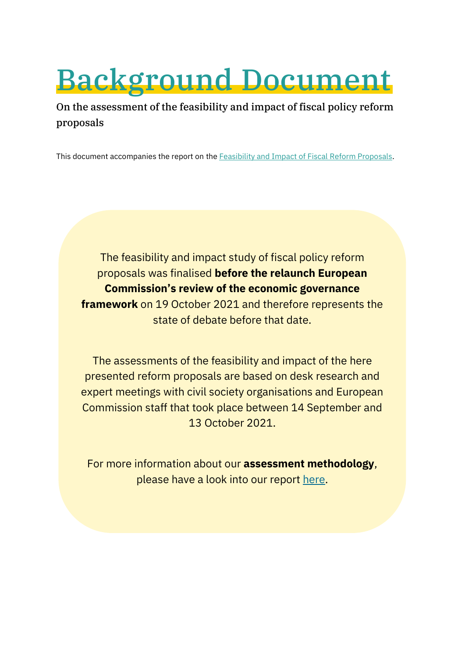# Background Document

On the assessment of the feasibility and impact of fiscal policy reform proposals

This document accompanies the report on th[e Feasibility and Impact of Fiscal](https://zoe-institut.de/en/publication/an-analysis-of-the-feasibility-and-impact-of-proposals-for-reforming-fiscal-policy-in-the-eu/) Reform Proposals.

The feasibility and impact study of fiscal policy reform proposals was finalised **before the relaunch European Commission's review of the economic governance framework** on 19 October 2021 and therefore represents the state of debate before that date.

The assessments of the feasibility and impact of the here presented reform proposals are based on desk research and expert meetings with civil society organisations and European Commission staff that took place between 14 September and 13 October 2021.

For more information about our **assessment methodology**, please have a look into our report [here.](https://zoe-institut.de/en/publication/an-analysis-of-the-feasibility-and-impact-of-proposals-for-reforming-fiscal-policy-in-the-eu/)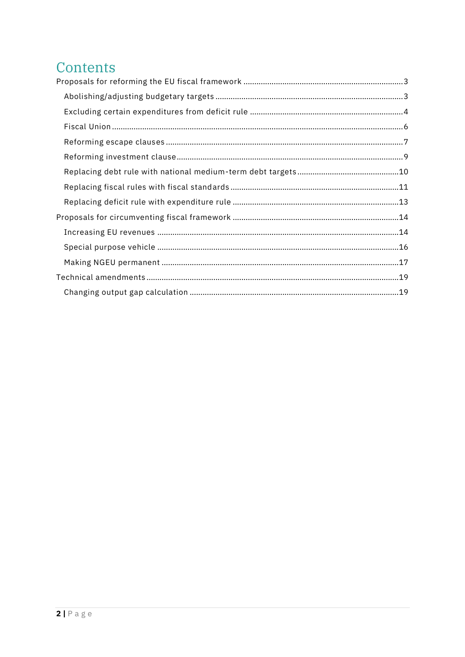# Contents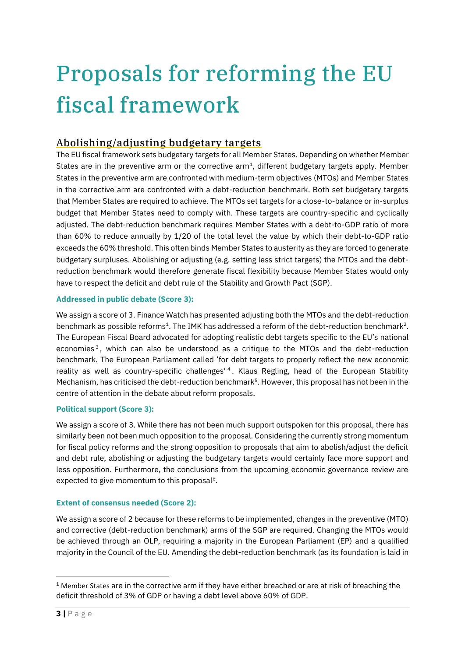# <span id="page-2-0"></span>Proposals for reforming the EU fiscal framework

# <span id="page-2-1"></span>Abolishing/adjusting budgetary targets

The EU fiscal framework sets budgetary targets for all Member States. Depending on whether Member States are in the preventive arm or the corrective  $arm<sup>1</sup>$ , different budgetary targets apply. Member States in the preventive arm are confronted with medium-term objectives (MTOs) and Member States in the corrective arm are confronted with a debt-reduction benchmark. Both set budgetary targets that Member States are required to achieve. The MTOs set targets for a close-to-balance or in-surplus budget that Member States need to comply with. These targets are country-specific and cyclically adjusted. The debt-reduction benchmark requires Member States with a debt-to-GDP ratio of more than 60% to reduce annually by 1/20 of the total level the value by which their debt-to-GDP ratio exceeds the 60% threshold. This often binds Member States to austerity as they are forced to generate budgetary surpluses. Abolishing or adjusting (e.g. setting less strict targets) the MTOs and the debtreduction benchmark would therefore generate fiscal flexibility because Member States would only have to respect the deficit and debt rule of the Stability and Growth Pact (SGP).

# **Addressed in public debate (Score 3):**

We assign a score of 3. Finance Watch has presented adjusting both the MTOs and the debt-reduction benchmark as possible reforms<sup>1</sup>. The IMK has addressed a reform of the debt-reduction benchmark<sup>2</sup>. The European Fiscal Board advocated for adopting realistic debt targets specific to the EU's national economies<sup>3</sup>, which can also be understood as a critique to the MTOs and the debt-reduction benchmark. The European Parliament called 'for debt targets to properly reflect the new economic reality as well as country-specific challenges' <sup>4</sup> . Klaus Regling, head of the European Stability Mechanism, has criticised the debt-reduction benchmark<sup>5</sup>. However, this proposal has not been in the centre of attention in the debate about reform proposals.

# **Political support (Score 3):**

We assign a score of 3. While there has not been much support outspoken for this proposal, there has similarly been not been much opposition to the proposal. Considering the currently strong momentum for fiscal policy reforms and the strong opposition to proposals that aim to abolish/adjust the deficit and debt rule, abolishing or adjusting the budgetary targets would certainly face more support and less opposition. Furthermore, the conclusions from the upcoming economic governance review are expected to give momentum to this proposal $6$ .

# **Extent of consensus needed (Score 2):**

We assign a score of 2 because for these reforms to be implemented, changes in the preventive (MTO) and corrective (debt-reduction benchmark) arms of the SGP are required. Changing the MTOs would be achieved through an OLP, requiring a majority in the European Parliament (EP) and a qualified majority in the Council of the EU. Amending the debt-reduction benchmark (as its foundation is laid in

<sup>&</sup>lt;sup>1</sup> Member States are in the corrective arm if they have either breached or are at risk of breaching the deficit threshold of 3% of GDP or having a debt level above 60% of GDP.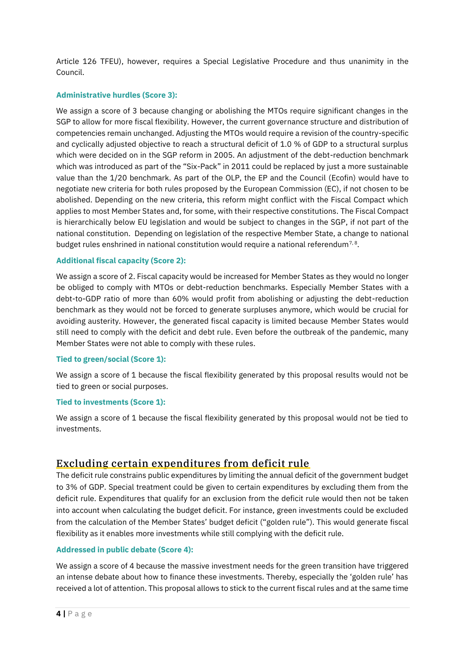Article 126 TFEU), however, requires a Special Legislative Procedure and thus unanimity in the Council.

#### **Administrative hurdles (Score 3):**

We assign a score of 3 because changing or abolishing the MTOs require significant changes in the SGP to allow for more fiscal flexibility. However, the current governance structure and distribution of competencies remain unchanged. Adjusting the MTOs would require a revision of the country-specific and cyclically adjusted objective to reach a structural deficit of 1.0 % of GDP to a structural surplus which were decided on in the SGP reform in 2005. An adjustment of the debt-reduction benchmark which was introduced as part of the "Six-Pack" in 2011 could be replaced by just a more sustainable value than the 1/20 benchmark. As part of the OLP, the EP and the Council (Ecofin) would have to negotiate new criteria for both rules proposed by the European Commission (EC), if not chosen to be abolished. Depending on the new criteria, this reform might conflict with the Fiscal Compact which applies to most Member States and, for some, with their respective constitutions. The Fiscal Compact is hierarchically below EU legislation and would be subject to changes in the SGP, if not part of the national constitution. Depending on legislation of the respective Member State, a change to national budget rules enshrined in national constitution would require a national referendum<sup>7,8</sup>.

#### **Additional fiscal capacity (Score 2):**

We assign a score of 2. Fiscal capacity would be increased for Member States as they would no longer be obliged to comply with MTOs or debt-reduction benchmarks. Especially Member States with a debt-to-GDP ratio of more than 60% would profit from abolishing or adjusting the debt-reduction benchmark as they would not be forced to generate surpluses anymore, which would be crucial for avoiding austerity. However, the generated fiscal capacity is limited because Member States would still need to comply with the deficit and debt rule. Even before the outbreak of the pandemic, many Member States were not able to comply with these rules.

#### **Tied to green/social (Score 1):**

We assign a score of 1 because the fiscal flexibility generated by this proposal results would not be tied to green or social purposes.

#### **Tied to investments (Score 1):**

We assign a score of 1 because the fiscal flexibility generated by this proposal would not be tied to investments.

# <span id="page-3-0"></span>Excluding certain expenditures from deficit rule

The deficit rule constrains public expenditures by limiting the annual deficit of the government budget to 3% of GDP. Special treatment could be given to certain expenditures by excluding them from the deficit rule. Expenditures that qualify for an exclusion from the deficit rule would then not be taken into account when calculating the budget deficit. For instance, green investments could be excluded from the calculation of the Member States' budget deficit ("golden rule"). This would generate fiscal flexibility as it enables more investments while still complying with the deficit rule.

#### **Addressed in public debate (Score 4):**

We assign a score of 4 because the massive investment needs for the green transition have triggered an intense debate about how to finance these investments. Thereby, especially the 'golden rule' has received a lot of attention. This proposal allows to stick to the current fiscal rules and at the same time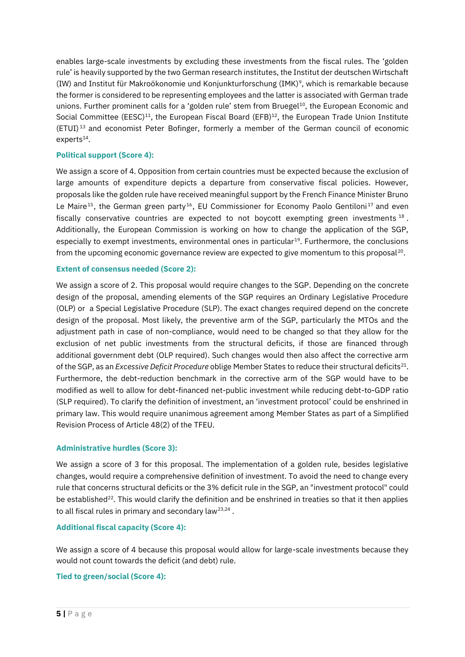enables large-scale investments by excluding these investments from the fiscal rules. The 'golden rule' is heavily supported by the two German research institutes, the Institut der deutschen Wirtschaft (IW) and Institut für Makroökonomie und Konjunkturforschung (IMK)<sup>9</sup> , which is remarkable because the former is considered to be representing employees and the latter is associated with German trade unions. Further prominent calls for a 'golden rule' stem from Bruegel<sup>10</sup>, the European Economic and Social Committee (EESC)<sup>11</sup>, the European Fiscal Board (EFB)<sup>12</sup>, the European Trade Union Institute (ETUI) <sup>13</sup> and economist Peter Bofinger, formerly a member of the German council of economic  $experts<sup>14</sup>$ .

#### **Political support (Score 4):**

We assign a score of 4. Opposition from certain countries must be expected because the exclusion of large amounts of expenditure depicts a departure from conservative fiscal policies. However, proposals like the golden rule have received meaningful support by the French Finance Minister Bruno Le Maire<sup>15</sup>, the German green party<sup>16</sup>, EU Commissioner for Economy Paolo Gentiloni<sup>17</sup> and even fiscally conservative countries are expected to not boycott exempting green investments  $^{18}$ . Additionally, the European Commission is working on how to change the application of the SGP, especially to exempt investments, environmental ones in particular $^{19}$ . Furthermore, the conclusions from the upcoming economic governance review are expected to give momentum to this proposal $^{20}\!$ .

#### **Extent of consensus needed (Score 2):**

We assign a score of 2. This proposal would require changes to the SGP. Depending on the concrete design of the proposal, amending elements of the SGP requires an Ordinary Legislative Procedure (OLP) or a Special Legislative Procedure (SLP). The exact changes required depend on the concrete design of the proposal. Most likely, the preventive arm of the SGP, particularly the MTOs and the adjustment path in case of non-compliance, would need to be changed so that they allow for the exclusion of net public investments from the structural deficits, if those are financed through additional government debt (OLP required). Such changes would then also affect the corrective arm of the SGP, as an *Excessive Deficit Procedure* oblige Member States to reduce their structural deficits<sup>21</sup>. Furthermore, the debt-reduction benchmark in the corrective arm of the SGP would have to be modified as well to allow for debt-financed net-public investment while reducing debt-to-GDP ratio (SLP required). To clarify the definition of investment, an 'investment protocol' could be enshrined in primary law. This would require unanimous agreement among Member States as part of a Simplified Revision Process of Article 48(2) of the TFEU.

#### **Administrative hurdles (Score 3):**

We assign a score of 3 for this proposal. The implementation of a golden rule, besides legislative changes, would require a comprehensive definition of investment. To avoid the need to change every rule that concerns structural deficits or the 3% deficit rule in the SGP, an "investment protocol" could be established<sup>22</sup>. This would clarify the definition and be enshrined in treaties so that it then applies to all fiscal rules in primary and secondary law<sup>23,24</sup>.

#### **Additional fiscal capacity (Score 4):**

We assign a score of 4 because this proposal would allow for large-scale investments because they would not count towards the deficit (and debt) rule.

#### **Tied to green/social (Score 4):**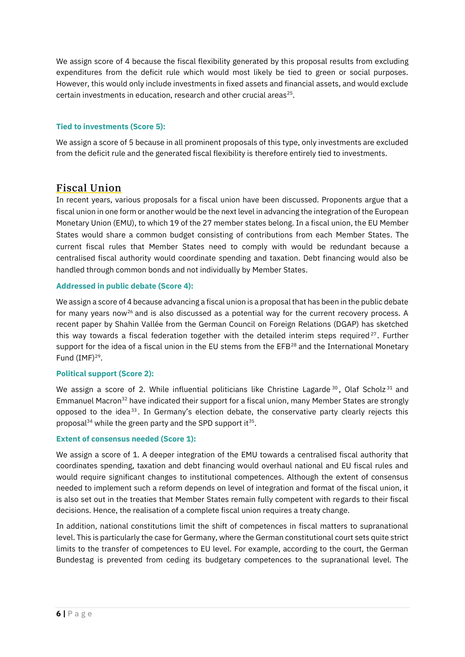We assign score of 4 because the fiscal flexibility generated by this proposal results from excluding expenditures from the deficit rule which would most likely be tied to green or social purposes. However, this would only include investments in fixed assets and financial assets, and would exclude certain investments in education, research and other crucial areas<sup>25</sup>.

#### **Tied to investments (Score 5):**

We assign a score of 5 because in all prominent proposals of this type, only investments are excluded from the deficit rule and the generated fiscal flexibility is therefore entirely tied to investments.

# <span id="page-5-0"></span>Fiscal Union

In recent years, various proposals for a fiscal union have been discussed. Proponents argue that a fiscal union in one form or another would be the next level in advancing the integration of the European Monetary Union (EMU), to which 19 of the 27 member states belong. In a fiscal union, the EU Member States would share a common budget consisting of contributions from each Member States. The current fiscal rules that Member States need to comply with would be redundant because a centralised fiscal authority would coordinate spending and taxation. Debt financing would also be handled through common bonds and not individually by Member States.

#### **Addressed in public debate (Score 4):**

We assign a score of 4 because advancing a fiscal union is a proposal that has been in the public debate for many years now<sup>26</sup> and is also discussed as a potential way for the current recovery process. A recent paper by Shahin Vallée from the German Council on Foreign Relations (DGAP) has sketched this way towards a fiscal federation together with the detailed interim steps required<sup>27</sup>. Further support for the idea of a fiscal union in the EU stems from the EFB<sup>28</sup> and the International Monetary Fund  $(IMF)^{29}$ .

#### **Political support (Score 2):**

We assign a score of 2. While influential politicians like Christine Lagarde  $30^{\circ}$ . Olaf Scholz  $31^{\circ}$  and Emmanuel Macron<sup>32</sup> have indicated their support for a fiscal union, many Member States are strongly opposed to the idea<sup>33</sup>. In Germany's election debate, the conservative party clearly rejects this proposal<sup>34</sup> while the green party and the SPD support it<sup>35</sup>.

#### **Extent of consensus needed (Score 1):**

We assign a score of 1. A deeper integration of the EMU towards a centralised fiscal authority that coordinates spending, taxation and debt financing would overhaul national and EU fiscal rules and would require significant changes to institutional competences. Although the extent of consensus needed to implement such a reform depends on level of integration and format of the fiscal union, it is also set out in the treaties that Member States remain fully competent with regards to their fiscal decisions. Hence, the realisation of a complete fiscal union requires a treaty change.

In addition, national constitutions limit the shift of competences in fiscal matters to supranational level. This is particularly the case for Germany, where the German constitutional court sets quite strict limits to the transfer of competences to EU level. For example, according to the court, the German Bundestag is prevented from ceding its budgetary competences to the supranational level. The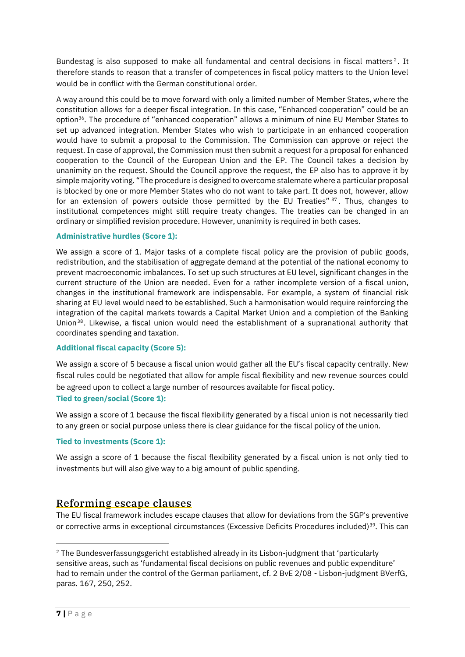Bundestag is also supposed to make all fundamental and central decisions in fiscal matters<sup>2</sup>. It therefore stands to reason that a transfer of competences in fiscal policy matters to the Union level would be in conflict with the German constitutional order.

A way around this could be to move forward with only a limited number of Member States, where the constitution allows for a deeper fiscal integration. In this case, "Enhanced cooperation" could be an option<sup>36</sup>. The procedure of "enhanced cooperation" allows a minimum of nine EU Member States to set up advanced integration. Member States who wish to participate in an enhanced cooperation would have to submit a proposal to the Commission. The Commission can approve or reject the request. In case of approval, the Commission must then submit a request for a proposal for enhanced cooperation to the Council of the European Union and the EP. The Council takes a decision by unanimity on the request. Should the Council approve the request, the EP also has to approve it by simple majority voting. "The procedure is designed to overcome stalemate where a particular proposal is blocked by one or more Member States who do not want to take part. It does not, however, allow for an extension of powers outside those permitted by the EU Treaties" 37. Thus, changes to institutional competences might still require treaty changes. The treaties can be changed in an ordinary or simplified revision procedure. However, unanimity is required in both cases.

#### **Administrative hurdles (Score 1):**

We assign a score of 1. Major tasks of a complete fiscal policy are the provision of public goods, redistribution, and the stabilisation of aggregate demand at the potential of the national economy to prevent macroeconomic imbalances. To set up such structures at EU level, significant changes in the current structure of the Union are needed. Even for a rather incomplete version of a fiscal union, changes in the institutional framework are indispensable. For example, a system of financial risk sharing at EU level would need to be established. Such a harmonisation would require reinforcing the integration of the capital markets towards a Capital Market Union and a completion of the Banking Union<sup>38</sup>. Likewise, a fiscal union would need the establishment of a supranational authority that coordinates spending and taxation.

#### **Additional fiscal capacity (Score 5):**

We assign a score of 5 because a fiscal union would gather all the EU's fiscal capacity centrally. New fiscal rules could be negotiated that allow for ample fiscal flexibility and new revenue sources could be agreed upon to collect a large number of resources available for fiscal policy. **Tied to green/social (Score 1):**

We assign a score of 1 because the fiscal flexibility generated by a fiscal union is not necessarily tied to any green or social purpose unless there is clear guidance for the fiscal policy of the union.

#### **Tied to investments (Score 1):**

We assign a score of 1 because the fiscal flexibility generated by a fiscal union is not only tied to investments but will also give way to a big amount of public spending.

# <span id="page-6-0"></span>Reforming escape clauses

The EU fiscal framework includes escape clauses that allow for deviations from the SGP's preventive or corrective arms in exceptional circumstances (Excessive Deficits Procedures included)<sup>39</sup>. This can

<sup>&</sup>lt;sup>2</sup> The Bundesverfassungsgericht established already in its Lisbon-judgment that 'particularly sensitive areas, such as 'fundamental fiscal decisions on public revenues and public expenditure' had to remain under the control of the German parliament, cf. 2 BvE 2/08 - Lisbon-judgment BVerfG, paras. 167, 250, 252.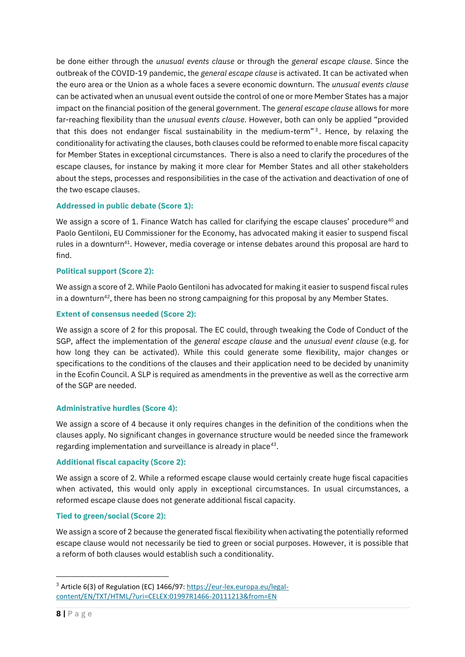be done either through the *unusual events clause* or through the *general escape clause*. Since the outbreak of the COVID-19 pandemic, the *general escape clause* is activated. It can be activated when the euro area or the Union as a whole faces a severe economic downturn. The *unusual events clause* can be activated when an unusual event outside the control of one or more Member States has a major impact on the financial position of the general government. The *general escape clause* allows for more far-reaching flexibility than the *unusual events clause*. However, both can only be applied "provided that this does not endanger fiscal sustainability in the medium-term"<sup>3</sup>. Hence, by relaxing the conditionality for activating the clauses, both clauses could be reformed to enable more fiscal capacity for Member States in exceptional circumstances. There is also a need to clarify the procedures of the escape clauses, for instance by making it more clear for Member States and all other stakeholders about the steps, processes and responsibilities in the case of the activation and deactivation of one of the two escape clauses.

#### **Addressed in public debate (Score 1):**

We assign a score of 1. Finance Watch has called for clarifying the escape clauses' procedure<sup>40</sup> and Paolo Gentiloni, EU Commissioner for the Economy, has advocated making it easier to suspend fiscal rules in a downturn<sup>41</sup>. However, media coverage or intense debates around this proposal are hard to find.

#### **Political support (Score 2):**

We assign a score of 2. While Paolo Gentiloni has advocated for making it easier to suspend fiscal rules in a downturn<sup>42</sup>, there has been no strong campaigning for this proposal by any Member States.

#### **Extent of consensus needed (Score 2):**

We assign a score of 2 for this proposal. The EC could, through tweaking the Code of Conduct of the SGP, affect the implementation of the *general escape clause* and the *unusual event clause* (e.g. for how long they can be activated). While this could generate some flexibility, major changes or specifications to the conditions of the clauses and their application need to be decided by unanimity in the Ecofin Council. A SLP is required as amendments in the preventive as well as the corrective arm of the SGP are needed.

#### **Administrative hurdles (Score 4):**

We assign a score of 4 because it only requires changes in the definition of the conditions when the clauses apply. No significant changes in governance structure would be needed since the framework regarding implementation and surveillance is already in place<sup>43</sup>.

#### **Additional fiscal capacity (Score 2):**

We assign a score of 2. While a reformed escape clause would certainly create huge fiscal capacities when activated, this would only apply in exceptional circumstances. In usual circumstances, a reformed escape clause does not generate additional fiscal capacity.

#### **Tied to green/social (Score 2):**

We assign a score of 2 because the generated fiscal flexibility when activating the potentially reformed escape clause would not necessarily be tied to green or social purposes. However, it is possible that a reform of both clauses would establish such a conditionality.

<sup>&</sup>lt;sup>3</sup> Article 6(3) of Regulation (EC) 1466/97: [https://eur-lex.europa.eu/legal](https://eur-lex.europa.eu/legal-content/EN/TXT/HTML/?uri=CELEX:01997R1466-20111213&from=EN)[content/EN/TXT/HTML/?uri=CELEX:01997R1466-20111213&from=EN](https://eur-lex.europa.eu/legal-content/EN/TXT/HTML/?uri=CELEX:01997R1466-20111213&from=EN)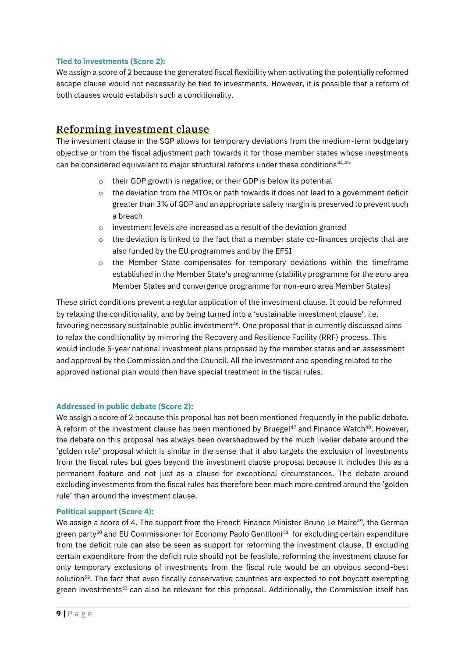#### **Tied to investments (Score 2):**

We assign a score of 2 because the generated fiscal flexibility when activating the potentially reformed escape clause would not necessarily be tied to investments. However, it is possible that a reform of both clauses would establish such a conditionality.

# <span id="page-8-0"></span>Reforming investment clause

The investment clause in the SGP allows for temporary deviations from the medium-term budgetary objective or from the fiscal adjustment path towards it for those member states whose investments can be considered equivalent to major structural reforms under these conditions<sup>44,45:</sup>

- o their GDP growth is negative, or their GDP is below its potential
- $\circ$  the deviation from the MTOs or path towards it does not lead to a government deficit greater than 3% of GDP and an appropriate safety margin is preserved to prevent such a breach
- o investment levels are increased as a result of the deviation granted
- $\circ$  the deviation is linked to the fact that a member state co-finances projects that are also funded by the EU programmes and by the EFSI
- $\circ$  the Member State compensates for temporary deviations within the timeframe established in the Member State's programme (stability programme for the euro area Member States and convergence programme for non-euro area Member States)

These strict conditions prevent a regular application of the investment clause. It could be reformed by relaxing the conditionality, and by being turned into a 'sustainable investment clause', i.e. favouring necessary sustainable public investment<sup>46</sup>. One proposal that is currently discussed aims to relax the conditionality by mirroring the Recovery and Resilience Facility (RRF) process. This would include 5-year national investment plans proposed by the member states and an assessment and approval by the Commission and the Council. All the investment and spending related to the approved national plan would then have special treatment in the fiscal rules.

#### **Addressed in public debate (Score 2):**

We assign a score of 2 because this proposal has not been mentioned frequently in the public debate. A reform of the investment clause has been mentioned by Bruegel<sup>47</sup> and Finance Watch<sup>48</sup>. However, the debate on this proposal has always been overshadowed by the much livelier debate around the 'golden rule' proposal which is similar in the sense that it also targets the exclusion of investments from the fiscal rules but goes beyond the investment clause proposal because it includes this as a permanent feature and not just as a clause for exceptional circumstances. The debate around excluding investments from the fiscal rules has therefore been much more centred around the 'golden rule' than around the investment clause.

#### **Political support (Score 4):**

We assign a score of 4. The support from the French Finance Minister Bruno Le Maire<sup>49</sup>, the German green party<sup>50</sup> and EU Commissioner for Economy Paolo Gentiloni<sup>51</sup> for excluding certain expenditure from the deficit rule can also be seen as support for reforming the investment clause. If excluding certain expenditure from the deficit rule should not be feasible, reforming the investment clause for only temporary exclusions of investments from the fiscal rule would be an obvious second-best solution<sup>52</sup>. The fact that even fiscally conservative countries are expected to not boycott exempting green investments<sup>53</sup> can also be relevant for this proposal. Additionally, the Commission itself has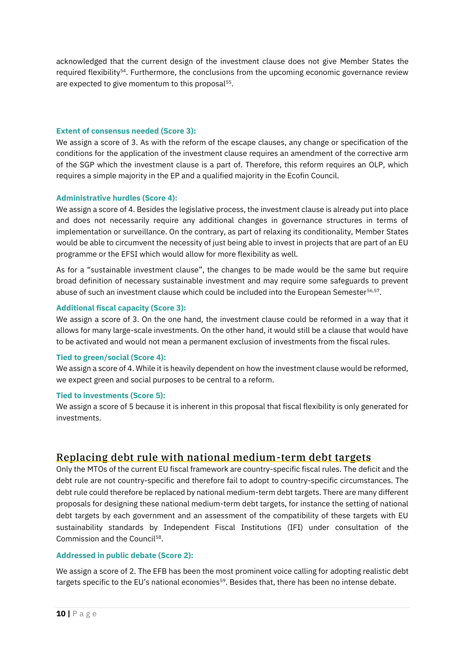acknowledged that the current design of the investment clause does not give Member States the required flexibility<sup>54</sup>. Furthermore, the conclusions from the upcoming economic governance review are expected to give momentum to this proposal $55$ .

#### **Extent of consensus needed (Score 3):**

We assign a score of 3. As with the reform of the escape clauses, any change or specification of the conditions for the application of the investment clause requires an amendment of the corrective arm of the SGP which the investment clause is a part of. Therefore, this reform requires an OLP, which requires a simple majority in the EP and a qualified majority in the Ecofin Council.

#### **Administrative hurdles (Score 4):**

We assign a score of 4. Besides the legislative process, the investment clause is already put into place and does not necessarily require any additional changes in governance structures in terms of implementation or surveillance. On the contrary, as part of relaxing its conditionality, Member States would be able to circumvent the necessity of just being able to invest in projects that are part of an EU programme or the EFSI which would allow for more flexibility as well.

As for a "sustainable investment clause", the changes to be made would be the same but require broad definition of necessary sustainable investment and may require some safeguards to prevent abuse of such an investment clause which could be included into the European Semester $56,57$ .

#### **Additional fiscal capacity (Score 3):**

We assign a score of 3. On the one hand, the investment clause could be reformed in a way that it allows for many large-scale investments. On the other hand, it would still be a clause that would have to be activated and would not mean a permanent exclusion of investments from the fiscal rules.

#### **Tied to green/social (Score 4):**

We assign a score of 4. While it is heavily dependent on how the investment clause would be reformed, we expect green and social purposes to be central to a reform.

#### **Tied to investments (Score 5):**

We assign a score of 5 because it is inherent in this proposal that fiscal flexibility is only generated for investments.

# <span id="page-9-0"></span>Replacing debt rule with national medium-term debt targets

Only the MTOs of the current EU fiscal framework are country-specific fiscal rules. The deficit and the debt rule are not country-specific and therefore fail to adopt to country-specific circumstances. The debt rule could therefore be replaced by national medium-term debt targets. There are many different proposals for designing these national medium-term debt targets, for instance the setting of national debt targets by each government and an assessment of the compatibility of these targets with EU sustainability standards by Independent Fiscal Institutions (IFI) under consultation of the Commission and the Council<sup>58</sup>.

#### **Addressed in public debate (Score 2):**

We assign a score of 2. The EFB has been the most prominent voice calling for adopting realistic debt targets specific to the EU's national economies<sup>59</sup>. Besides that, there has been no intense debate.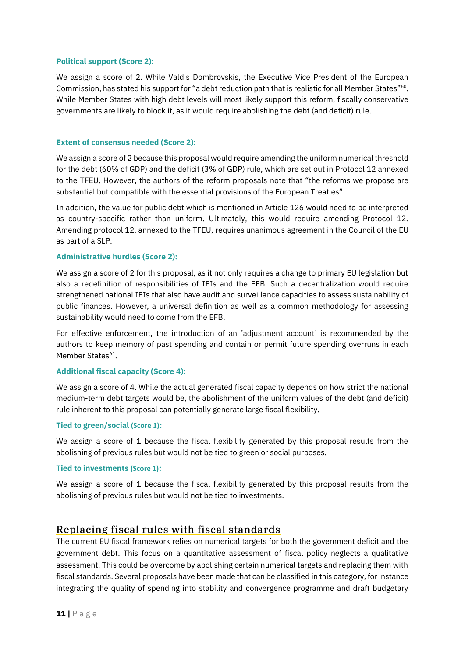#### **Political support (Score 2):**

We assign a score of 2. While Valdis Dombrovskis, the Executive Vice President of the European Commission, has stated his support for "a debt reduction path that is realistic for all Member States"<sup>60</sup>. While Member States with high debt levels will most likely support this reform, fiscally conservative governments are likely to block it, as it would require abolishing the debt (and deficit) rule.

#### **Extent of consensus needed (Score 2):**

We assign a score of 2 because this proposal would require amending the uniform numerical threshold for the debt (60% of GDP) and the deficit (3% of GDP) rule, which are set out in Protocol 12 annexed to the TFEU. However, the authors of the reform proposals note that "the reforms we propose are substantial but compatible with the essential provisions of the European Treaties".

In addition, the value for public debt which is mentioned in Article 126 would need to be interpreted as country-specific rather than uniform. Ultimately, this would require amending Protocol 12. Amending protocol 12, annexed to the TFEU, requires unanimous agreement in the Council of the EU as part of a SLP.

#### **Administrative hurdles (Score 2):**

We assign a score of 2 for this proposal, as it not only requires a change to primary EU legislation but also a redefinition of responsibilities of IFIs and the EFB. Such a decentralization would require strengthened national IFIs that also have audit and surveillance capacities to assess sustainability of public finances. However, a universal definition as well as a common methodology for assessing sustainability would need to come from the EFB.

For effective enforcement, the introduction of an 'adjustment account' is recommended by the authors to keep memory of past spending and contain or permit future spending overruns in each Member States<sup>61</sup>.

#### **Additional fiscal capacity (Score 4):**

We assign a score of 4. While the actual generated fiscal capacity depends on how strict the national medium-term debt targets would be, the abolishment of the uniform values of the debt (and deficit) rule inherent to this proposal can potentially generate large fiscal flexibility.

#### **Tied to green/social (Score 1):**

We assign a score of 1 because the fiscal flexibility generated by this proposal results from the abolishing of previous rules but would not be tied to green or social purposes.

#### **Tied to investments (Score 1):**

We assign a score of 1 because the fiscal flexibility generated by this proposal results from the abolishing of previous rules but would not be tied to investments.

# <span id="page-10-0"></span>Replacing fiscal rules with fiscal standards

The current EU fiscal framework relies on numerical targets for both the government deficit and the government debt. This focus on a quantitative assessment of fiscal policy neglects a qualitative assessment. This could be overcome by abolishing certain numerical targets and replacing them with fiscal standards. Several proposals have been made that can be classified in this category, for instance integrating the quality of spending into stability and convergence programme and draft budgetary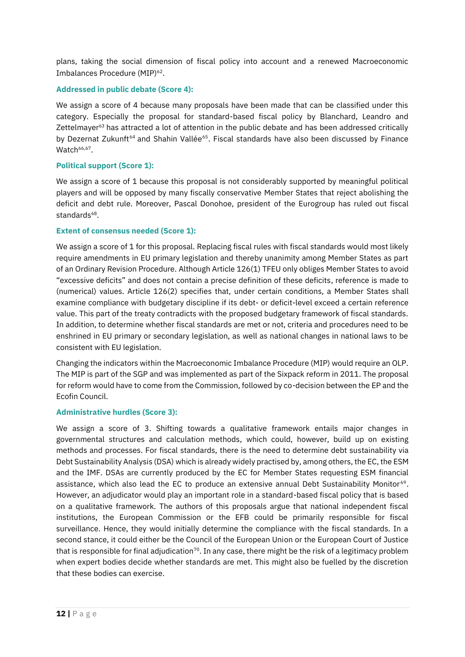plans, taking the social dimension of fiscal policy into account and a renewed Macroeconomic Imbalances Procedure (MIP)<sup>62</sup>.

#### **Addressed in public debate (Score 4):**

We assign a score of 4 because many proposals have been made that can be classified under this category. Especially the proposal for standard-based fiscal policy by Blanchard, Leandro and Zettelmayer<sup>63</sup> has attracted a lot of attention in the public debate and has been addressed critically by Dezernat Zukunft<sup>64</sup> and Shahin Vallée<sup>65</sup>. Fiscal standards have also been discussed by Finance Watch<sup>66,67</sup>.

#### **Political support (Score 1):**

We assign a score of 1 because this proposal is not considerably supported by meaningful political players and will be opposed by many fiscally conservative Member States that reject abolishing the deficit and debt rule. Moreover, Pascal Donohoe, president of the Eurogroup has ruled out fiscal standards<sup>68</sup>.

#### **Extent of consensus needed (Score 1):**

We assign a score of 1 for this proposal. Replacing fiscal rules with fiscal standards would most likely require amendments in EU primary legislation and thereby unanimity among Member States as part of an Ordinary Revision Procedure. Although Article 126(1) TFEU only obliges Member States to avoid "excessive deficits" and does not contain a precise definition of these deficits, reference is made to (numerical) values. Article 126(2) specifies that, under certain conditions, a Member States shall examine compliance with budgetary discipline if its debt- or deficit-level exceed a certain reference value. This part of the treaty contradicts with the proposed budgetary framework of fiscal standards. In addition, to determine whether fiscal standards are met or not, criteria and procedures need to be enshrined in EU primary or secondary legislation, as well as national changes in national laws to be consistent with EU legislation.

Changing the indicators within the Macroeconomic Imbalance Procedure (MIP) would require an OLP. The MIP is part of the SGP and was implemented as part of the Sixpack reform in 2011. The proposal for reform would have to come from the Commission, followed by co-decision between the EP and the Ecofin Council.

#### **Administrative hurdles (Score 3):**

We assign a score of 3. Shifting towards a qualitative framework entails major changes in governmental structures and calculation methods, which could, however, build up on existing methods and processes. For fiscal standards, there is the need to determine debt sustainability via Debt Sustainability Analysis (DSA) which is already widely practised by, among others, the EC, the ESM and the IMF. DSAs are currently produced by the EC for Member States requesting ESM financial assistance, which also lead the EC to produce an extensive annual Debt Sustainability Monitor<sup>69</sup>. However, an adjudicator would play an important role in a standard-based fiscal policy that is based on a qualitative framework. The authors of this proposals argue that national independent fiscal institutions, the European Commission or the EFB could be primarily responsible for fiscal surveillance. Hence, they would initially determine the compliance with the fiscal standards. In a second stance, it could either be the Council of the European Union or the European Court of Justice that is responsible for final adjudication<sup>70</sup>. In any case, there might be the risk of a legitimacy problem when expert bodies decide whether standards are met. This might also be fuelled by the discretion that these bodies can exercise.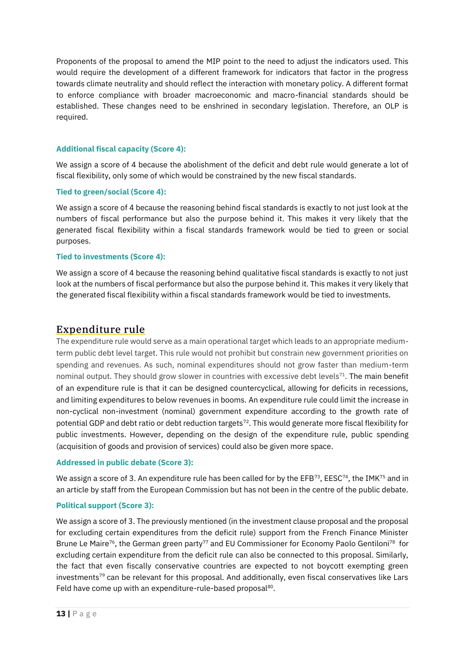Proponents of the proposal to amend the MIP point to the need to adjust the indicators used. This would require the development of a different framework for indicators that factor in the progress towards climate neutrality and should reflect the interaction with monetary policy. A different format to enforce compliance with broader macroeconomic and macro-financial standards should be established. These changes need to be enshrined in secondary legislation. Therefore, an OLP is required.

#### **Additional fiscal capacity (Score 4):**

We assign a score of 4 because the abolishment of the deficit and debt rule would generate a lot of fiscal flexibility, only some of which would be constrained by the new fiscal standards.

#### **Tied to green/social (Score 4):**

We assign a score of 4 because the reasoning behind fiscal standards is exactly to not just look at the numbers of fiscal performance but also the purpose behind it. This makes it very likely that the generated fiscal flexibility within a fiscal standards framework would be tied to green or social purposes.

#### **Tied to investments (Score 4):**

We assign a score of 4 because the reasoning behind qualitative fiscal standards is exactly to not just look at the numbers of fiscal performance but also the purpose behind it. This makes it very likely that the generated fiscal flexibility within a fiscal standards framework would be tied to investments.

### <span id="page-12-0"></span>Expenditure rule

The expenditure rule would serve as a main operational target which leads to an appropriate mediumterm public debt level target. This rule would not prohibit but constrain new government priorities on spending and revenues. As such, nominal expenditures should not grow faster than medium-term nominal output. They should grow slower in countries with excessive debt levels<sup>71</sup>. The main benefit of an expenditure rule is that it can be designed countercyclical, allowing for deficits in recessions, and limiting expenditures to below revenues in booms. An expenditure rule could limit the increase in non-cyclical non-investment (nominal) government expenditure according to the growth rate of potential GDP and debt ratio or debt reduction targets<sup>72</sup>. This would generate more fiscal flexibility for public investments. However, depending on the design of the expenditure rule, public spending (acquisition of goods and provision of services) could also be given more space.

#### **Addressed in public debate (Score 3):**

We assign a score of 3. An expenditure rule has been called for by the EFB<sup>73</sup>, EESC<sup>74</sup>, the IMK<sup>75</sup> and in an article by staff from the European Commission but has not been in the centre of the public debate.

#### **Political support (Score 3):**

We assign a score of 3. The previously mentioned (in the investment clause proposal and the proposal for excluding certain expenditures from the deficit rule) support from the French Finance Minister Brune Le Maire<sup>76</sup>, the German green party<sup>77</sup> and EU Commissioner for Economy Paolo Gentiloni<sup>78</sup> for excluding certain expenditure from the deficit rule can also be connected to this proposal. Similarly, the fact that even fiscally conservative countries are expected to not boycott exempting green investments<sup>79</sup> can be relevant for this proposal. And additionally, even fiscal conservatives like Lars Feld have come up with an expenditure-rule-based proposal<sup>80</sup>.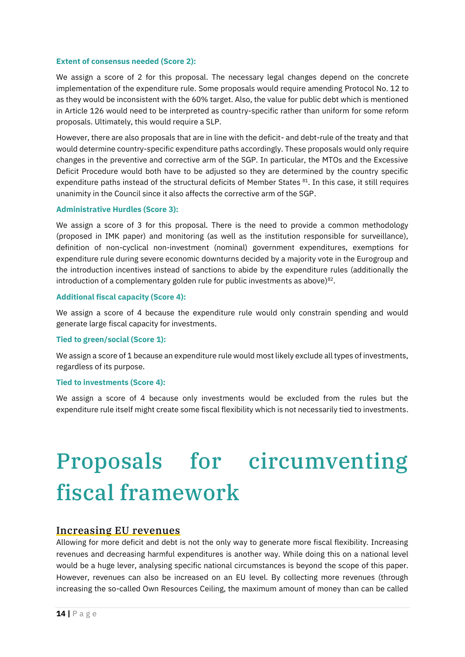#### **Extent of consensus needed (Score 2):**

We assign a score of 2 for this proposal. The necessary legal changes depend on the concrete implementation of the expenditure rule. Some proposals would require amending Protocol No. 12 to as they would be inconsistent with the 60% target. Also, the value for public debt which is mentioned in Article 126 would need to be interpreted as country-specific rather than uniform for some reform proposals. Ultimately, this would require a SLP.

However, there are also proposals that are in line with the deficit- and debt-rule of the treaty and that would determine country-specific expenditure paths accordingly. These proposals would only require changes in the preventive and corrective arm of the SGP. In particular, the MTOs and the Excessive Deficit Procedure would both have to be adjusted so they are determined by the country specific expenditure paths instead of the structural deficits of Member States <sup>81</sup>. In this case, it still requires unanimity in the Council since it also affects the corrective arm of the SGP.

#### **Administrative Hurdles (Score 3):**

We assign a score of 3 for this proposal. There is the need to provide a common methodology (proposed in IMK paper) and monitoring (as well as the institution responsible for surveillance), definition of non-cyclical non-investment (nominal) government expenditures, exemptions for expenditure rule during severe economic downturns decided by a majority vote in the Eurogroup and the introduction incentives instead of sanctions to abide by the expenditure rules (additionally the introduction of a complementary golden rule for public investments as above) $82$ .

#### **Additional fiscal capacity (Score 4):**

We assign a score of 4 because the expenditure rule would only constrain spending and would generate large fiscal capacity for investments.

#### **Tied to green/social (Score 1):**

We assign a score of 1 because an expenditure rule would most likely exclude all types of investments, regardless of its purpose.

#### **Tied to investments (Score 4):**

We assign a score of 4 because only investments would be excluded from the rules but the expenditure rule itself might create some fiscal flexibility which is not necessarily tied to investments.

# <span id="page-13-0"></span>Proposals for circumventing fiscal framework

#### <span id="page-13-1"></span>Increasing EU revenues

Allowing for more deficit and debt is not the only way to generate more fiscal flexibility. Increasing revenues and decreasing harmful expenditures is another way. While doing this on a national level would be a huge lever, analysing specific national circumstances is beyond the scope of this paper. However, revenues can also be increased on an EU level. By collecting more revenues (through increasing the so-called Own Resources Ceiling, the maximum amount of money than can be called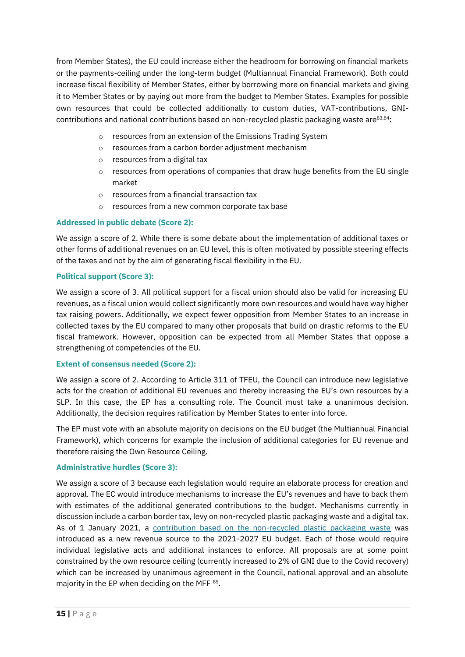from Member States), the EU could increase either the headroom for borrowing on financial markets or the payments-ceiling under the long-term budget (Multiannual Financial Framework). Both could increase fiscal flexibility of Member States, either by borrowing more on financial markets and giving it to Member States or by paying out more from the budget to Member States. Examples for possible own resources that could be collected additionally to custom duties, VAT-contributions, GNIcontributions and national contributions based on non-recycled plastic packaging waste are 83,84:

- o resources from an extension of the Emissions Trading System
- o resources from a carbon border adjustment mechanism
- o resources from a digital tax
- o resources from operations of companies that draw huge benefits from the EU single market
- o resources from a financial transaction tax
- o resources from a new common corporate tax base

#### **Addressed in public debate (Score 2):**

We assign a score of 2. While there is some debate about the implementation of additional taxes or other forms of additional revenues on an EU level, this is often motivated by possible steering effects of the taxes and not by the aim of generating fiscal flexibility in the EU.

#### **Political support (Score 3):**

We assign a score of 3. All political support for a fiscal union should also be valid for increasing EU revenues, as a fiscal union would collect significantly more own resources and would have way higher tax raising powers. Additionally, we expect fewer opposition from Member States to an increase in collected taxes by the EU compared to many other proposals that build on drastic reforms to the EU fiscal framework. However, opposition can be expected from all Member States that oppose a strengthening of competencies of the EU.

#### **Extent of consensus needed (Score 2):**

We assign a score of 2. According to Article 311 of TFEU, the Council can introduce new legislative acts for the creation of additional EU revenues and thereby increasing the EU's own resources by a SLP. In this case, the EP has a consulting role. The Council must take a unanimous decision. Additionally, the decision requires ratification by Member States to enter into force.

The EP must vote with an absolute majority on decisions on the EU budget (the Multiannual Financial Framework), which concerns for example the inclusion of additional categories for EU revenue and therefore raising the Own Resource Ceiling.

#### **Administrative hurdles (Score 3):**

We assign a score of 3 because each legislation would require an elaborate process for creation and approval. The EC would introduce mechanisms to increase the EU's revenues and have to back them with estimates of the additional generated contributions to the budget. Mechanisms currently in discussion include a carbon border tax, levy on non-recycled plastic packaging waste and a digital tax. As of 1 January 2021, a [contribution based on the non-recycled plastic packaging waste](https://ec.europa.eu/info/strategy/eu-budget/long-term-eu-budget/2021-2027/revenue/own-resources/plastics-own-resource_en) was introduced as a new revenue source to the 2021-2027 EU budget. Each of those would require individual legislative acts and additional instances to enforce. All proposals are at some point constrained by the own resource ceiling (currently increased to 2% of GNI due to the Covid recovery) which can be increased by unanimous agreement in the Council, national approval and an absolute majority in the EP when deciding on the MFF 85.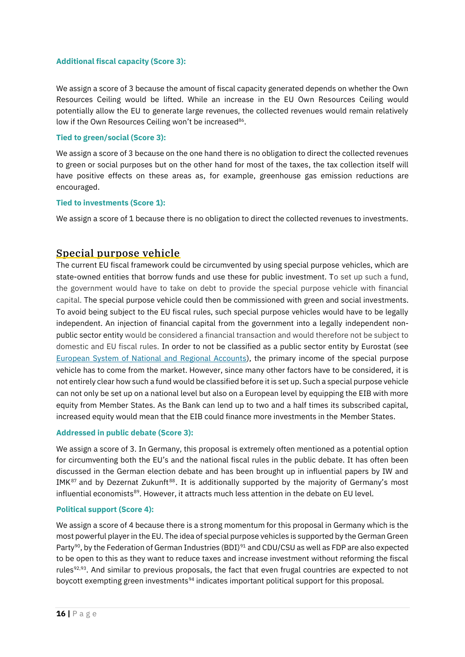#### **Additional fiscal capacity (Score 3):**

We assign a score of 3 because the amount of fiscal capacity generated depends on whether the Own Resources Ceiling would be lifted. While an increase in the EU Own Resources Ceiling would potentially allow the EU to generate large revenues, the collected revenues would remain relatively low if the Own Resources Ceiling won't be increased<sup>86</sup>.

#### **Tied to green/social (Score 3):**

We assign a score of 3 because on the one hand there is no obligation to direct the collected revenues to green or social purposes but on the other hand for most of the taxes, the tax collection itself will have positive effects on these areas as, for example, greenhouse gas emission reductions are encouraged.

#### **Tied to investments (Score 1):**

We assign a score of 1 because there is no obligation to direct the collected revenues to investments.

# <span id="page-15-0"></span>Special purpose vehicle

The current EU fiscal framework could be circumvented by using special purpose vehicles, which are state-owned entities that borrow funds and use these for public investment. To set up such a fund, the government would have to take on debt to provide the special purpose vehicle with financial capital. The special purpose vehicle could then be commissioned with green and social investments. To avoid being subject to the EU fiscal rules, such special purpose vehicles would have to be legally independent. An injection of financial capital from the government into a legally independent nonpublic sector entity would be considered a financial transaction and would therefore not be subject to domestic and EU fiscal rules. In order to not be classified as a public sector entity by Eurostat (see [European System of National and Regional Accounts\)](https://ec.europa.eu/eurostat/web/national-accounts/methodology), the primary income of the special purpose vehicle has to come from the market. However, since many other factors have to be considered, it is not entirely clear how such a fund would be classified before it is set up. Such a special purpose vehicle can not only be set up on a national level but also on a European level by equipping the EIB with more equity from Member States. As the Bank can lend up to two and a half times its subscribed capital, increased equity would mean that the EIB could finance more investments in the Member States.

#### **Addressed in public debate (Score 3):**

We assign a score of 3. In Germany, this proposal is extremely often mentioned as a potential option for circumventing both the EU's and the national fiscal rules in the public debate. It has often been discussed in the German election debate and has been brought up in influential papers by IW and IMK $87$  and by Dezernat Zukunft $88$ . It is additionally supported by the majority of Germany's most influential economists<sup>89</sup>. However, it attracts much less attention in the debate on EU level.

#### **Political support (Score 4):**

We assign a score of 4 because there is a strong momentum for this proposal in Germany which is the most powerful player in the EU. The idea of special purpose vehicles is supported by the German Green Party<sup>90</sup>, by the Federation of German Industries (BDI)<sup>91</sup> and CDU/CSU as well as FDP are also expected to be open to this as they want to reduce taxes and increase investment without reforming the fiscal rules<sup>92,93</sup>. And similar to previous proposals, the fact that even frugal countries are expected to not boycott exempting green investments<sup>94</sup> indicates important political support for this proposal.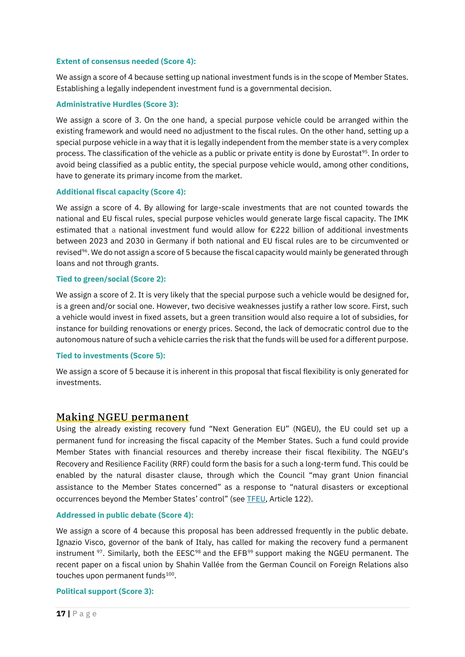#### **Extent of consensus needed (Score 4):**

We assign a score of 4 because setting up national investment funds is in the scope of Member States. Establishing a legally independent investment fund is a governmental decision.

#### **Administrative Hurdles (Score 3):**

We assign a score of 3. On the one hand, a special purpose vehicle could be arranged within the existing framework and would need no adjustment to the fiscal rules. On the other hand, setting up a special purpose vehicle in a way that it is legally independent from the member state is a very complex process. The classification of the vehicle as a public or private entity is done by Eurostat<sup>95</sup>. In order to avoid being classified as a public entity, the special purpose vehicle would, among other conditions, have to generate its primary income from the market.

#### **Additional fiscal capacity (Score 4):**

We assign a score of 4. By allowing for large-scale investments that are not counted towards the national and EU fiscal rules, special purpose vehicles would generate large fiscal capacity. The IMK estimated that a national investment fund would allow for €222 billion of additional investments between 2023 and 2030 in Germany if both national and EU fiscal rules are to be circumvented or revised<sup>96</sup>. We do not assign a score of 5 because the fiscal capacity would mainly be generated through loans and not through grants.

#### **Tied to green/social (Score 2):**

We assign a score of 2. It is very likely that the special purpose such a vehicle would be designed for, is a green and/or social one. However, two decisive weaknesses justify a rather low score. First, such a vehicle would invest in fixed assets, but a green transition would also require a lot of subsidies, for instance for building renovations or energy prices. Second, the lack of democratic control due to the autonomous nature of such a vehicle carries the risk that the funds will be used for a different purpose.

#### **Tied to investments (Score 5):**

We assign a score of 5 because it is inherent in this proposal that fiscal flexibility is only generated for investments.

# <span id="page-16-0"></span>Making NGEU permanent

Using the already existing recovery fund "Next Generation EU" (NGEU), the EU could set up a permanent fund for increasing the fiscal capacity of the Member States. Such a fund could provide Member States with financial resources and thereby increase their fiscal flexibility. The NGEU's Recovery and Resilience Facility (RRF) could form the basis for a such a long-term fund. This could be enabled by the natural disaster clause, through which the Council "may grant Union financial assistance to the Member States concerned" as a response to "natural disasters or exceptional occurrences beyond the Member States' control" (see [TFEU,](https://eur-lex.europa.eu/legal-content/EN/TXT/PDF/?uri=CELEX:12012E/TXT) Article 122).

#### **Addressed in public debate (Score 4):**

We assign a score of 4 because this proposal has been addressed frequently in the public debate. Ignazio Visco, governor of the bank of Italy, has called for making the recovery fund a permanent instrument <sup>97</sup>. Similarly, both the EESC<sup>98</sup> and the EFB<sup>99</sup> support making the NGEU permanent. The recent paper on a fiscal union by Shahin Vallée from the German Council on Foreign Relations also touches upon permanent funds<sup>100</sup>.

#### **Political support (Score 3):**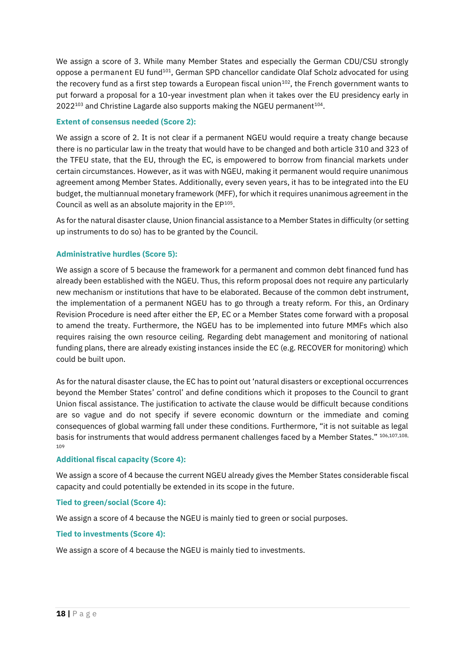We assign a score of 3. While many Member States and especially the German CDU/CSU strongly oppose a permanent EU fund<sup>101</sup>, German SPD chancellor candidate Olaf Scholz advocated for using the recovery fund as a first step towards a European fiscal union<sup>102</sup>, the French government wants to put forward a proposal for a 10-year investment plan when it takes over the EU presidency early in  $2022^{103}$  and Christine Lagarde also supports making the NGEU permanent<sup>104</sup>.

#### **Extent of consensus needed (Score 2):**

We assign a score of 2. It is not clear if a permanent NGEU would require a treaty change because there is no particular law in the treaty that would have to be changed and both article 310 and 323 of the TFEU state, that the EU, through the EC, is empowered to borrow from financial markets under certain circumstances. However, as it was with NGEU, making it permanent would require unanimous agreement among Member States. Additionally, every seven years, it has to be integrated into the EU budget, the multiannual monetary framework (MFF), for which it requires unanimous agreement in the Council as well as an absolute majority in the  $EP^{105}$ .

As for the natural disaster clause, Union financial assistance to a Member States in difficulty (or setting up instruments to do so) has to be granted by the Council.

#### **Administrative hurdles (Score 5):**

We assign a score of 5 because the framework for a permanent and common debt financed fund has already been established with the NGEU. Thus, this reform proposal does not require any particularly new mechanism or institutions that have to be elaborated. Because of the common debt instrument, the implementation of a permanent NGEU has to go through a treaty reform. For this, an Ordinary Revision Procedure is need after either the EP, EC or a Member States come forward with a proposal to amend the treaty. Furthermore, the NGEU has to be implemented into future MMFs which also requires raising the own resource ceiling. Regarding debt management and monitoring of national funding plans, there are already existing instances inside the EC (e.g. RECOVER for monitoring) which could be built upon.

As for the natural disaster clause, the EC has to point out 'natural disasters or exceptional occurrences beyond the Member States' control' and define conditions which it proposes to the Council to grant Union fiscal assistance. The justification to activate the clause would be difficult because conditions are so vague and do not specify if severe economic downturn or the immediate and coming consequences of global warming fall under these conditions. Furthermore, "it is not suitable as legal basis for instruments that would address permanent challenges faced by a Member States." 106,107,108, 109

#### **Additional fiscal capacity (Score 4):**

We assign a score of 4 because the current NGEU already gives the Member States considerable fiscal capacity and could potentially be extended in its scope in the future.

#### **Tied to green/social (Score 4):**

We assign a score of 4 because the NGEU is mainly tied to green or social purposes.

#### **Tied to investments (Score 4):**

We assign a score of 4 because the NGEU is mainly tied to investments.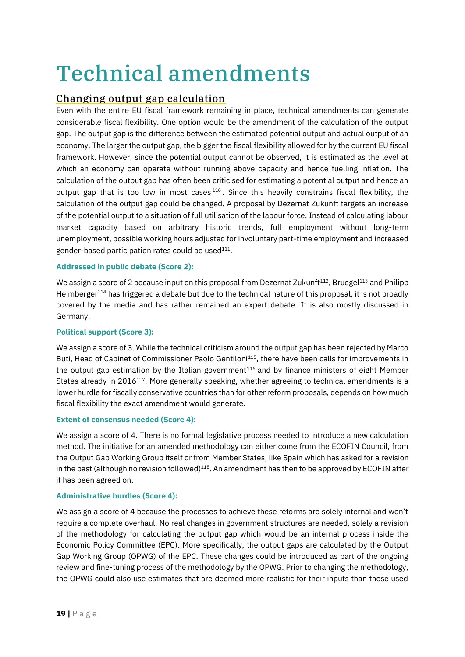# <span id="page-18-0"></span>Technical amendments

# <span id="page-18-1"></span>Changing output gap calculation

Even with the entire EU fiscal framework remaining in place, technical amendments can generate considerable fiscal flexibility. One option would be the amendment of the calculation of the output gap. The output gap is the difference between the estimated potential output and actual output of an economy. The larger the output gap, the bigger the fiscal flexibility allowed for by the current EU fiscal framework. However, since the potential output cannot be observed, it is estimated as the level at which an economy can operate without running above capacity and hence fuelling inflation. The calculation of the output gap has often been criticised for estimating a potential output and hence an output gap that is too low in most cases  $110$ . Since this heavily constrains fiscal flexibility, the calculation of the output gap could be changed. A proposal by Dezernat Zukunft targets an increase of the potential output to a situation of full utilisation of the labour force. Instead of calculating labour market capacity based on arbitrary historic trends, full employment without long-term unemployment, possible working hours adjusted for involuntary part-time employment and increased gender-based participation rates could be used $^{111}$ .

#### **Addressed in public debate (Score 2):**

We assign a score of 2 because input on this proposal from Dezernat Zukunft<sup>112</sup>, Bruegel<sup>113</sup> and Philipp Heimberger<sup>114</sup> has triggered a debate but due to the technical nature of this proposal, it is not broadly covered by the media and has rather remained an expert debate. It is also mostly discussed in Germany.

#### **Political support (Score 3):**

We assign a score of 3. While the technical criticism around the output gap has been rejected by Marco Buti, Head of Cabinet of Commissioner Paolo Gentiloni<sup>115</sup>, there have been calls for improvements in the output gap estimation by the Italian government<sup>116</sup> and by finance ministers of eight Member States already in 2016<sup>117</sup>. More generally speaking, whether agreeing to technical amendments is a lower hurdle for fiscally conservative countries than for other reform proposals, depends on how much fiscal flexibility the exact amendment would generate.

#### **Extent of consensus needed (Score 4):**

We assign a score of 4. There is no formal legislative process needed to introduce a new calculation method. The initiative for an amended methodology can either come from the ECOFIN Council, from the Output Gap Working Group itself or from Member States, like Spain which has asked for a revision in the past (although no revision followed)<sup>118</sup>. An amendment has then to be approved by ECOFIN after it has been agreed on.

#### **Administrative hurdles (Score 4):**

We assign a score of 4 because the processes to achieve these reforms are solely internal and won't require a complete overhaul. No real changes in government structures are needed, solely a revision of the methodology for calculating the output gap which would be an internal process inside the Economic Policy Committee (EPC). More specifically, the output gaps are calculated by the Output Gap Working Group (OPWG) of the EPC. These changes could be introduced as part of the ongoing review and fine-tuning process of the methodology by the OPWG. Prior to changing the methodology, the OPWG could also use estimates that are deemed more realistic for their inputs than those used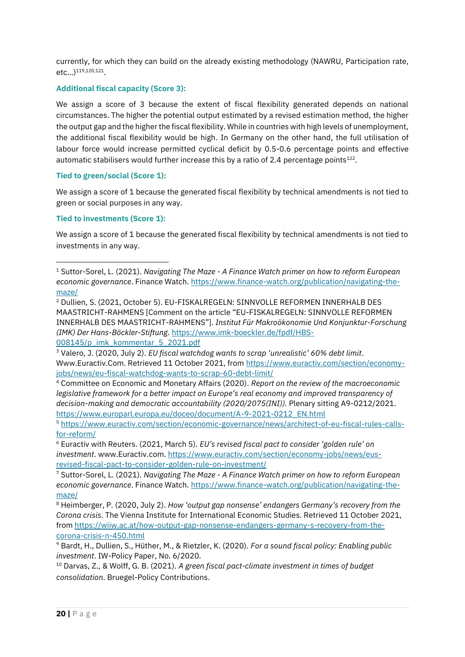currently, for which they can build on the already existing methodology (NAWRU, Participation rate, etc...)<sup>119,120,121</sup>.

#### **Additional fiscal capacity (Score 3):**

We assign a score of 3 because the extent of fiscal flexibility generated depends on national circumstances. The higher the potential output estimated by a revised estimation method, the higher the output gap and the higher the fiscal flexibility. While in countries with high levels of unemployment, the additional fiscal flexibility would be high. In Germany on the other hand, the full utilisation of labour force would increase permitted cyclical deficit by 0.5-0.6 percentage points and effective automatic stabilisers would further increase this by a ratio of 2.4 percentage points $^{122}$ .

#### **Tied to green/social (Score 1):**

We assign a score of 1 because the generated fiscal flexibility by technical amendments is not tied to green or social purposes in any way.

#### **Tied to investments (Score 1):**

We assign a score of 1 because the generated fiscal flexibility by technical amendments is not tied to investments in any way.

<sup>2</sup> Dullien, S. (2021, October 5). EU-FISKALREGELN: SINNVOLLE REFORMEN INNERHALB DES MAASTRICHT-RAHMENS [Comment on the article "EU-FISKALREGELN: SINNVOLLE REFORMEN INNERHALB DES MAASTRICHT-RAHMENS"]. *Institut Für Makroökonomie Und Konjunktur-Forschung (IMK) Der Hans-Böckler-Stiftung*[. https://www.imk-boeckler.de/fpdf/HBS-](https://www.imk-boeckler.de/fpdf/HBS-008145/p_imk_kommentar_5_2021.pdf)

[008145/p\\_imk\\_kommentar\\_5\\_2021.pdf](https://www.imk-boeckler.de/fpdf/HBS-008145/p_imk_kommentar_5_2021.pdf)

<sup>3</sup> Valero, J. (2020, July 2). *EU fiscal watchdog wants to scrap 'unrealistic' 60% debt limit*. Www.Euractiv.Com. Retrieved 11 October 2021, from [https://www.euractiv.com/section/economy](https://www.euractiv.com/section/economy-jobs/news/eu-fiscal-watchdog-wants-to-scrap-60-debt-limit/)[jobs/news/eu-fiscal-watchdog-wants-to-scrap-60-debt-limit/](https://www.euractiv.com/section/economy-jobs/news/eu-fiscal-watchdog-wants-to-scrap-60-debt-limit/)

<sup>4</sup> Committee on Economic and Monetary Affairs (2020). *Report on the review of the macroeconomic legislative framework for a better impact on Europe's real economy and improved transparency of decision-making and democratic accountability (2020/2075(INI)).* Plenary sitting A9-0212/2021. [https://www.europarl.europa.eu/doceo/document/A-9-2021-0212\\_EN.html](https://www.europarl.europa.eu/doceo/document/A-9-2021-0212_EN.html)

<sup>5</sup> [https://www.euractiv.com/section/economic-governance/news/architect-of-eu-fiscal-rules-calls](https://www.euractiv.com/section/economic-governance/news/architect-of-eu-fiscal-rules-calls-for-reform/)[for-reform/](https://www.euractiv.com/section/economic-governance/news/architect-of-eu-fiscal-rules-calls-for-reform/)

<sup>6</sup> Euractiv with Reuters. (2021, March 5). *EU's revised fiscal pact to consider 'golden rule' on investment*. www.Euractiv.com. [https://www.euractiv.com/section/economy-jobs/news/eus](https://www.euractiv.com/section/economy-jobs/news/eus-revised-fiscal-pact-to-consider-golden-rule-on-investment/)[revised-fiscal-pact-to-consider-golden-rule-on-investment/](https://www.euractiv.com/section/economy-jobs/news/eus-revised-fiscal-pact-to-consider-golden-rule-on-investment/)

<sup>7</sup> Suttor-Sorel, L. (2021). *Navigating The Maze - A Finance Watch primer on how to reform European economic governance*. Finance Watch[. https://www.finance-watch.org/publication/navigating-the](https://www.finance-watch.org/publication/navigating-the-maze/)[maze/](https://www.finance-watch.org/publication/navigating-the-maze/)

<sup>8</sup> Heimberger, P. (2020, July 2). *How 'output gap nonsense' endangers Germany's recovery from the Corona crisis*. The Vienna Institute for International Economic Studies. Retrieved 11 October 2021, fro[m https://wiiw.ac.at/how-output-gap-nonsense-endangers-germany-s-recovery-from-the](https://wiiw.ac.at/how-output-gap-nonsense-endangers-germany-s-recovery-from-the-corona-crisis-n-450.html)[corona-crisis-n-450.html](https://wiiw.ac.at/how-output-gap-nonsense-endangers-germany-s-recovery-from-the-corona-crisis-n-450.html)

<sup>9</sup> Bardt, H., Dullien, S., Hüther, M., & Rietzler, K. (2020). *For a sound fiscal policy: Enabling public investment*. IW-Policy Paper, No. 6/2020.

<sup>10</sup> Darvas, Z., & Wolff, G. B. (2021). *A green fiscal pact-climate investment in times of budget consolidation*. Bruegel-Policy Contributions.

<sup>1</sup> Suttor-Sorel, L. (2021). *Navigating The Maze - A Finance Watch primer on how to reform European economic governance*. Finance Watch[. https://www.finance-watch.org/publication/navigating-the](https://www.finance-watch.org/publication/navigating-the-maze/)[maze/](https://www.finance-watch.org/publication/navigating-the-maze/)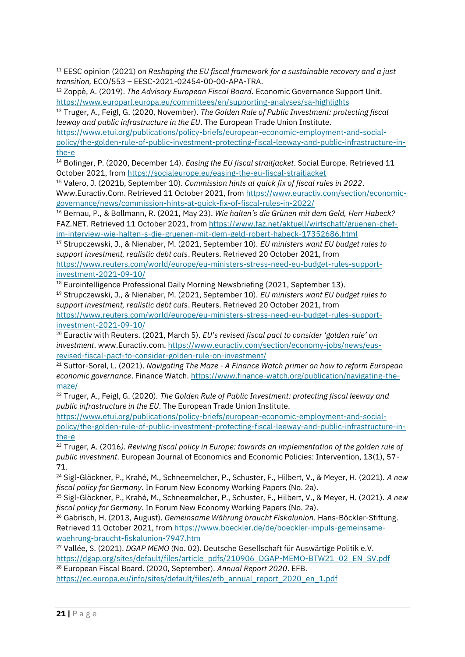<sup>11</sup> EESC opinion (2021) on *Reshaping the EU fiscal framework for a sustainable recovery and a just transition,* ECO/553 – EESC-2021-02454-00-00-APA-TRA.

<sup>12</sup> Zoppè, A. (2019). *The Advisory European Fiscal Board.* Economic Governance Support Unit. <https://www.europarl.europa.eu/committees/en/supporting-analyses/sa-highlights>

<sup>13</sup> Truger, A., Feigl, G. (2020, November). *The Golden Rule of Public Investment: protecting fiscal leeway and public infrastructure in the EU*. The European Trade Union Institute.

[https://www.etui.org/publications/policy-briefs/european-economic-employment-and-social](https://www.etui.org/publications/policy-briefs/european-economic-employment-and-social-policy/the-golden-rule-of-public-investment-protecting-fiscal-leeway-and-public-infrastructure-in-the-e)[policy/the-golden-rule-of-public-investment-protecting-fiscal-leeway-and-public-infrastructure-in](https://www.etui.org/publications/policy-briefs/european-economic-employment-and-social-policy/the-golden-rule-of-public-investment-protecting-fiscal-leeway-and-public-infrastructure-in-the-e)[the-e](https://www.etui.org/publications/policy-briefs/european-economic-employment-and-social-policy/the-golden-rule-of-public-investment-protecting-fiscal-leeway-and-public-infrastructure-in-the-e)

<sup>14</sup> Bofinger, P. (2020, December 14). *Easing the EU fiscal straitjacket*. Social Europe. Retrieved 11 October 2021, from<https://socialeurope.eu/easing-the-eu-fiscal-straitjacket>

<sup>15</sup> Valero, J. (2021b, September 10). *Commission hints at quick fix of fiscal rules in 2022*. Www.Euractiv.Com. Retrieved 11 October 2021, from [https://www.euractiv.com/section/economic](https://www.euractiv.com/section/economic-governance/news/commission-hints-at-quick-fix-of-fiscal-rules-in-2022/)[governance/news/commission-hints-at-quick-fix-of-fiscal-rules-in-2022/](https://www.euractiv.com/section/economic-governance/news/commission-hints-at-quick-fix-of-fiscal-rules-in-2022/)

<sup>16</sup> Bernau, P., & Bollmann, R. (2021, May 23). *Wie halten's die Grünen mit dem Geld, Herr Habeck?* FAZ.NET. Retrieved 11 October 2021, fro[m https://www.faz.net/aktuell/wirtschaft/gruenen-chef](https://www.faz.net/aktuell/wirtschaft/gruenen-chef-im-interview-wie-halten-s-die-gruenen-mit-dem-geld-robert-habeck-17352686.html)[im-interview-wie-halten-s-die-gruenen-mit-dem-geld-robert-habeck-17352686.html](https://www.faz.net/aktuell/wirtschaft/gruenen-chef-im-interview-wie-halten-s-die-gruenen-mit-dem-geld-robert-habeck-17352686.html)

<sup>17</sup> Strupczewski, J., & Nienaber, M. (2021, September 10). *EU ministers want EU budget rules to support investment, realistic debt cuts*. Reuters. Retrieved 20 October 2021, from [https://www.reuters.com/world/europe/eu-ministers-stress-need-eu-budget-rules-support](https://www.reuters.com/world/europe/eu-ministers-stress-need-eu-budget-rules-support-investment-2021-09-10/)[investment-2021-09-10/](https://www.reuters.com/world/europe/eu-ministers-stress-need-eu-budget-rules-support-investment-2021-09-10/)

<sup>18</sup> Eurointelligence Professional Daily Morning Newsbriefing (2021, September 13).

<sup>19</sup> Strupczewski, J., & Nienaber, M. (2021, September 10). *EU ministers want EU budget rules to support investment, realistic debt cuts*. Reuters. Retrieved 20 October 2021, from [https://www.reuters.com/world/europe/eu-ministers-stress-need-eu-budget-rules-support](https://www.reuters.com/world/europe/eu-ministers-stress-need-eu-budget-rules-support-investment-2021-09-10/)[investment-2021-09-10/](https://www.reuters.com/world/europe/eu-ministers-stress-need-eu-budget-rules-support-investment-2021-09-10/)

<sup>20</sup> Euractiv with Reuters. (2021, March 5). *EU's revised fiscal pact to consider 'golden rule' on investment*. www.Euractiv.com. [https://www.euractiv.com/section/economy-jobs/news/eus](https://www.euractiv.com/section/economy-jobs/news/eus-revised-fiscal-pact-to-consider-golden-rule-on-investment/)[revised-fiscal-pact-to-consider-golden-rule-on-investment/](https://www.euractiv.com/section/economy-jobs/news/eus-revised-fiscal-pact-to-consider-golden-rule-on-investment/)

<sup>21</sup> Suttor-Sorel, L. (2021). *Navigating The Maze - A Finance Watch primer on how to reform European economic governance*. Finance Watch[. https://www.finance-watch.org/publication/navigating-the](https://www.finance-watch.org/publication/navigating-the-maze/)[maze/](https://www.finance-watch.org/publication/navigating-the-maze/)

<sup>22</sup> Truger, A., Feigl, G. (2020). *The Golden Rule of Public Investment: protecting fiscal leeway and public infrastructure in the EU*. The European Trade Union Institute.

[https://www.etui.org/publications/policy-briefs/european-economic-employment-and-social](https://www.etui.org/publications/policy-briefs/european-economic-employment-and-social-policy/the-golden-rule-of-public-investment-protecting-fiscal-leeway-and-public-infrastructure-in-the-e)[policy/the-golden-rule-of-public-investment-protecting-fiscal-leeway-and-public-infrastructure-in](https://www.etui.org/publications/policy-briefs/european-economic-employment-and-social-policy/the-golden-rule-of-public-investment-protecting-fiscal-leeway-and-public-infrastructure-in-the-e)[the-e](https://www.etui.org/publications/policy-briefs/european-economic-employment-and-social-policy/the-golden-rule-of-public-investment-protecting-fiscal-leeway-and-public-infrastructure-in-the-e)

<sup>23</sup> Truger, A. (2016*). Reviving fiscal policy in Europe: towards an implementation of the golden rule of public investment*. European Journal of Economics and Economic Policies: Intervention, 13(1), 57- 71.

<sup>24</sup> Sigl-Glöckner, P., Krahé, M., Schneemelcher, P., Schuster, F., Hilbert, V., & Meyer, H. (2021). *A new fiscal policy for Germany*. In Forum New Economy Working Papers (No. 2a).

<sup>25</sup> Sigl-Glöckner, P., Krahé, M., Schneemelcher, P., Schuster, F., Hilbert, V., & Meyer, H. (2021). *A new fiscal policy for Germany*. In Forum New Economy Working Papers (No. 2a).

<sup>26</sup> Gabrisch, H. (2013, August). *Gemeinsame Währung braucht Fiskalunion*. Hans-Böckler-Stiftung. Retrieved 11 October 2021, from [https://www.boeckler.de/de/boeckler-impuls-gemeinsame](https://www.boeckler.de/de/boeckler-impuls-gemeinsame-waehrung-braucht-fiskalunion-7947.htm)[waehrung-braucht-fiskalunion-7947.htm](https://www.boeckler.de/de/boeckler-impuls-gemeinsame-waehrung-braucht-fiskalunion-7947.htm)

<sup>27</sup> Vallée, S. (2021). *DGAP MEMO* (No. 02). Deutsche Gesellschaft für Auswärtige Politik e.V. [https://dgap.org/sites/default/files/article\\_pdfs/210906\\_DGAP-MEMO-BTW21\\_02\\_EN\\_SV.pdf](https://dgap.org/sites/default/files/article_pdfs/210906_DGAP-MEMO-BTW21_02_EN_SV.pdf)

<sup>28</sup> European Fiscal Board. (2020, September). *Annual Report 2020*. EFB.

[https://ec.europa.eu/info/sites/default/files/efb\\_annual\\_report\\_2020\\_en\\_1.pdf](https://ec.europa.eu/info/sites/default/files/efb_annual_report_2020_en_1.pdf)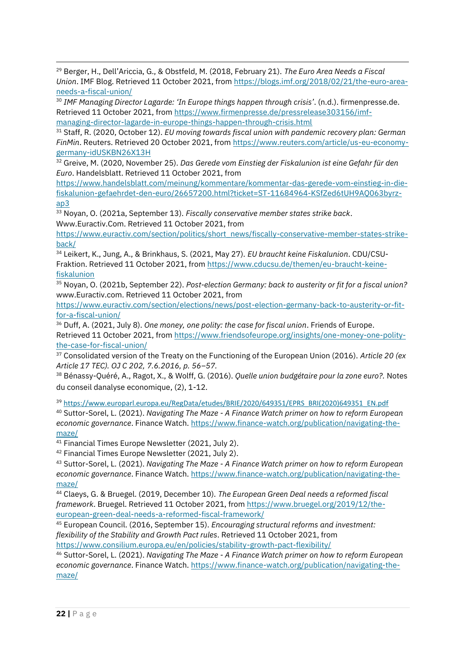<sup>29</sup> Berger, H., Dell'Ariccia, G., & Obstfeld, M. (2018, February 21). *The Euro Area Needs a Fiscal Union*. IMF Blog. Retrieved 11 October 2021, fro[m https://blogs.imf.org/2018/02/21/the-euro-area](https://blogs.imf.org/2018/02/21/the-euro-area-needs-a-fiscal-union/)[needs-a-fiscal-union/](https://blogs.imf.org/2018/02/21/the-euro-area-needs-a-fiscal-union/)

<sup>30</sup> *IMF Managing Director Lagarde: 'In Europe things happen through crisis'*. (n.d.). firmenpresse.de. Retrieved 11 October 2021, from [https://www.firmenpresse.de/pressrelease303156/imf](https://www.firmenpresse.de/pressrelease303156/imf-managing-director-lagarde-in-europe-things-happen-through-crisis.html)[managing-director-lagarde-in-europe-things-happen-through-crisis.html](https://www.firmenpresse.de/pressrelease303156/imf-managing-director-lagarde-in-europe-things-happen-through-crisis.html)

<sup>31</sup> Staff, R. (2020, October 12). *EU moving towards fiscal union with pandemic recovery plan: German FinMin*. Reuters. Retrieved 20 October 2021, from [https://www.reuters.com/article/us-eu-economy](https://www.reuters.com/article/us-eu-economy-germany-idUSKBN26X13H)[germany-idUSKBN26X13H](https://www.reuters.com/article/us-eu-economy-germany-idUSKBN26X13H)

<sup>32</sup> Greive, M. (2020, November 25). *Das Gerede vom Einstieg der Fiskalunion ist eine Gefahr für den Euro*. Handelsblatt. Retrieved 11 October 2021, from

[https://www.handelsblatt.com/meinung/kommentare/kommentar-das-gerede-vom-einstieg-in-die](https://www.handelsblatt.com/meinung/kommentare/kommentar-das-gerede-vom-einstieg-in-die-fiskalunion-gefaehrdet-den-euro/26657200.html?ticket=ST-11684964-KSfZed6tUH9AQ063byrz-ap3)[fiskalunion-gefaehrdet-den-euro/26657200.html?ticket=ST-11684964-KSfZed6tUH9AQ063byrz](https://www.handelsblatt.com/meinung/kommentare/kommentar-das-gerede-vom-einstieg-in-die-fiskalunion-gefaehrdet-den-euro/26657200.html?ticket=ST-11684964-KSfZed6tUH9AQ063byrz-ap3)[ap3](https://www.handelsblatt.com/meinung/kommentare/kommentar-das-gerede-vom-einstieg-in-die-fiskalunion-gefaehrdet-den-euro/26657200.html?ticket=ST-11684964-KSfZed6tUH9AQ063byrz-ap3)

<sup>33</sup> Noyan, O. (2021a, September 13). *Fiscally conservative member states strike back*. Www.Euractiv.Com. Retrieved 11 October 2021, from

[https://www.euractiv.com/section/politics/short\\_news/fiscally-conservative-member-states-strike](https://www.euractiv.com/section/politics/short_news/fiscally-conservative-member-states-strike-back/)[back/](https://www.euractiv.com/section/politics/short_news/fiscally-conservative-member-states-strike-back/)

<sup>34</sup> Leikert, K., Jung, A., & Brinkhaus, S. (2021, May 27). *EU braucht keine Fiskalunion*. CDU/CSU-Fraktion. Retrieved 11 October 2021, from [https://www.cducsu.de/themen/eu-braucht-keine](https://www.cducsu.de/themen/eu-braucht-keine-fiskalunion)[fiskalunion](https://www.cducsu.de/themen/eu-braucht-keine-fiskalunion)

<sup>35</sup> Noyan, O. (2021b, September 22). *Post-election Germany: back to austerity or fit for a fiscal union?* www.Euractiv.com. Retrieved 11 October 2021, from

[https://www.euractiv.com/section/elections/news/post-election-germany-back-to-austerity-or-fit](https://www.euractiv.com/section/elections/news/post-election-germany-back-to-austerity-or-fit-for-a-fiscal-union/)[for-a-fiscal-union/](https://www.euractiv.com/section/elections/news/post-election-germany-back-to-austerity-or-fit-for-a-fiscal-union/)

<sup>36</sup> Duff, A. (2021, July 8). *One money, one polity: the case for fiscal union*. Friends of Europe. Retrieved 11 October 2021, from [https://www.friendsofeurope.org/insights/one-money-one-polity](https://www.friendsofeurope.org/insights/one-money-one-polity-the-case-for-fiscal-union/)[the-case-for-fiscal-union/](https://www.friendsofeurope.org/insights/one-money-one-polity-the-case-for-fiscal-union/)

<sup>37</sup> Consolidated version of the Treaty on the Functioning of the European Union (2016). *Article 20 (ex Article 17 TEC). OJ C 202, 7.6.2016, p. 56–57.*

<sup>38</sup> Bénassy-Quéré, A., Ragot, X., & Wolff, G. (2016). *Quelle union budgétaire pour la zone euro?.* Notes du conseil danalyse economique, (2), 1-12.

<sup>39</sup> [https://www.europarl.europa.eu/RegData/etudes/BRIE/2020/649351/EPRS\\_BRI\(2020\)649351\\_EN.pdf](https://www.europarl.europa.eu/RegData/etudes/BRIE/2020/649351/EPRS_BRI(2020)649351_EN.pdf)

<sup>40</sup> Suttor-Sorel, L. (2021). *Navigating The Maze - A Finance Watch primer on how to reform European economic governance*. Finance Watch[. https://www.finance-watch.org/publication/navigating-the](https://www.finance-watch.org/publication/navigating-the-maze/)[maze/](https://www.finance-watch.org/publication/navigating-the-maze/)

<sup>41</sup> Financial Times Europe Newsletter (2021, July 2).

<sup>42</sup> Financial Times Europe Newsletter (2021, July 2).

<sup>43</sup> Suttor-Sorel, L. (2021). *Navigating The Maze - A Finance Watch primer on how to reform European economic governance*. Finance Watch[. https://www.finance-watch.org/publication/navigating-the](https://www.finance-watch.org/publication/navigating-the-maze/)[maze/](https://www.finance-watch.org/publication/navigating-the-maze/)

<sup>44</sup> Claeys, G. & Bruegel. (2019, December 10). *The European Green Deal needs a reformed fiscal framework*. Bruegel. Retrieved 11 October 2021, from [https://www.bruegel.org/2019/12/the](https://www.bruegel.org/2019/12/the-european-green-deal-needs-a-reformed-fiscal-framework/)[european-green-deal-needs-a-reformed-fiscal-framework/](https://www.bruegel.org/2019/12/the-european-green-deal-needs-a-reformed-fiscal-framework/)

<sup>45</sup> European Council. (2016, September 15). *Encouraging structural reforms and investment: flexibility of the Stability and Growth Pact rules*. Retrieved 11 October 2021, from <https://www.consilium.europa.eu/en/policies/stability-growth-pact-flexibility/>

<sup>46</sup> Suttor-Sorel, L. (2021). *Navigating The Maze - A Finance Watch primer on how to reform European economic governance*. Finance Watch[. https://www.finance-watch.org/publication/navigating-the](https://www.finance-watch.org/publication/navigating-the-maze/)[maze/](https://www.finance-watch.org/publication/navigating-the-maze/)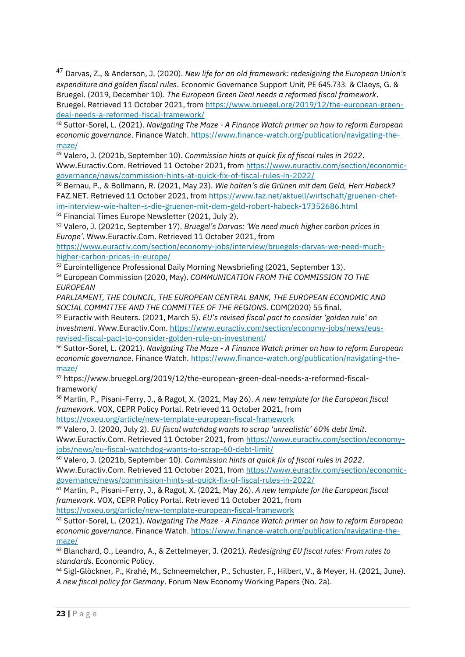<sup>47</sup> Darvas, Z., & Anderson, J. (2020). *New life for an old framework: redesigning the European Union's expenditure and golden fiscal rules*. Economic Governance Support Unit*,* PE 645.733*.* & Claeys, G. & Bruegel. (2019, December 10). *The European Green Deal needs a reformed fiscal framework*. Bruegel. Retrieved 11 October 2021, from [https://www.bruegel.org/2019/12/the-european-green](https://www.bruegel.org/2019/12/the-european-green-deal-needs-a-reformed-fiscal-framework/)[deal-needs-a-reformed-fiscal-framework/](https://www.bruegel.org/2019/12/the-european-green-deal-needs-a-reformed-fiscal-framework/)

<sup>48</sup> Suttor-Sorel, L. (2021). *Navigating The Maze - A Finance Watch primer on how to reform European economic governance*. Finance Watch[. https://www.finance-watch.org/publication/navigating-the](https://www.finance-watch.org/publication/navigating-the-maze/)[maze/](https://www.finance-watch.org/publication/navigating-the-maze/)

<sup>49</sup> Valero, J. (2021b, September 10). *Commission hints at quick fix of fiscal rules in 2022*. Www.Euractiv.Com. Retrieved 11 October 2021, from [https://www.euractiv.com/section/economic](https://www.euractiv.com/section/economic-governance/news/commission-hints-at-quick-fix-of-fiscal-rules-in-2022/)[governance/news/commission-hints-at-quick-fix-of-fiscal-rules-in-2022/](https://www.euractiv.com/section/economic-governance/news/commission-hints-at-quick-fix-of-fiscal-rules-in-2022/)

<sup>50</sup> Bernau, P., & Bollmann, R. (2021, May 23). *Wie halten's die Grünen mit dem Geld, Herr Habeck?* FAZ.NET. Retrieved 11 October 2021, fro[m https://www.faz.net/aktuell/wirtschaft/gruenen-chef](https://www.faz.net/aktuell/wirtschaft/gruenen-chef-im-interview-wie-halten-s-die-gruenen-mit-dem-geld-robert-habeck-17352686.html)[im-interview-wie-halten-s-die-gruenen-mit-dem-geld-robert-habeck-17352686.html](https://www.faz.net/aktuell/wirtschaft/gruenen-chef-im-interview-wie-halten-s-die-gruenen-mit-dem-geld-robert-habeck-17352686.html) <sup>51</sup> Financial Times Europe Newsletter (2021, July 2).

<sup>52</sup> Valero, J. (2021c, September 17). *Bruegel's Darvas: 'We need much higher carbon prices in Europe'*. Www.Euractiv.Com. Retrieved 11 October 2021, from

[https://www.euractiv.com/section/economy-jobs/interview/bruegels-darvas-we-need-much](https://www.euractiv.com/section/economy-jobs/interview/bruegels-darvas-we-need-much-higher-carbon-prices-in-europe/)[higher-carbon-prices-in-europe/](https://www.euractiv.com/section/economy-jobs/interview/bruegels-darvas-we-need-much-higher-carbon-prices-in-europe/)

<sup>53</sup> Eurointelligence Professional Daily Morning Newsbriefing (2021, September 13).

<sup>54</sup> European Commission (2020, May). *COMMUNICATION FROM THE COMMISSION TO THE EUROPEAN*

PARLIAMENT, THE COUNCIL, THE EUROPEAN CENTRAL BANK, THE EUROPEAN ECONOMIC AND *SOCIAL COMMITTEE AND THE COMMITTEE OF THE REGIONS.* COM(2020) 55 final.

<sup>55</sup> Euractiv with Reuters. (2021, March 5). *EU's revised fiscal pact to consider 'golden rule' on investment*. Www.Euractiv.Com[. https://www.euractiv.com/section/economy-jobs/news/eus](https://www.euractiv.com/section/economy-jobs/news/eus-revised-fiscal-pact-to-consider-golden-rule-on-investment/)[revised-fiscal-pact-to-consider-golden-rule-on-investment/](https://www.euractiv.com/section/economy-jobs/news/eus-revised-fiscal-pact-to-consider-golden-rule-on-investment/)

<sup>56</sup> Suttor-Sorel, L. (2021). *Navigating The Maze - A Finance Watch primer on how to reform European economic governance*. Finance Watch[. https://www.finance-watch.org/publication/navigating-the](https://www.finance-watch.org/publication/navigating-the-maze/)[maze/](https://www.finance-watch.org/publication/navigating-the-maze/)

<sup>57</sup> https://www.bruegel.org/2019/12/the-european-green-deal-needs-a-reformed-fiscalframework/

<sup>58</sup> Martin, P., Pisani-Ferry, J., & Ragot, X. (2021, May 26). *A new template for the European fiscal framework*. VOX, CEPR Policy Portal. Retrieved 11 October 2021, from

<https://voxeu.org/article/new-template-european-fiscal-framework>

<sup>59</sup> Valero, J. (2020, July 2). *EU fiscal watchdog wants to scrap 'unrealistic' 60% debt limit*. Www.Euractiv.Com. Retrieved 11 October 2021, from [https://www.euractiv.com/section/economy](https://www.euractiv.com/section/economy-jobs/news/eu-fiscal-watchdog-wants-to-scrap-60-debt-limit/)[jobs/news/eu-fiscal-watchdog-wants-to-scrap-60-debt-limit/](https://www.euractiv.com/section/economy-jobs/news/eu-fiscal-watchdog-wants-to-scrap-60-debt-limit/)

<sup>60</sup> Valero, J. (2021b, September 10). *Commission hints at quick fix of fiscal rules in 2022*. Www.Euractiv.Com. Retrieved 11 October 2021, from [https://www.euractiv.com/section/economic](https://www.euractiv.com/section/economic-governance/news/commission-hints-at-quick-fix-of-fiscal-rules-in-2022/)[governance/news/commission-hints-at-quick-fix-of-fiscal-rules-in-2022/](https://www.euractiv.com/section/economic-governance/news/commission-hints-at-quick-fix-of-fiscal-rules-in-2022/)

<sup>61</sup> Martin, P., Pisani-Ferry, J., & Ragot, X. (2021, May 26). *A new template for the European fiscal framework*. VOX, CEPR Policy Portal. Retrieved 11 October 2021, from

<https://voxeu.org/article/new-template-european-fiscal-framework>

<sup>62</sup> Suttor-Sorel, L. (2021). *Navigating The Maze - A Finance Watch primer on how to reform European economic governance*. Finance Watch[. https://www.finance-watch.org/publication/navigating-the](https://www.finance-watch.org/publication/navigating-the-maze/)[maze/](https://www.finance-watch.org/publication/navigating-the-maze/)

<sup>63</sup> Blanchard, O., Leandro, A., & Zettelmeyer, J. (2021). *Redesigning EU fiscal rules: From rules to standards*. Economic Policy.

<sup>64</sup> Sigl-Glöckner, P., Krahé, M., Schneemelcher, P., Schuster, F., Hilbert, V., & Meyer, H. (2021, June). *A new fiscal policy for Germany*. Forum New Economy Working Papers (No. 2a).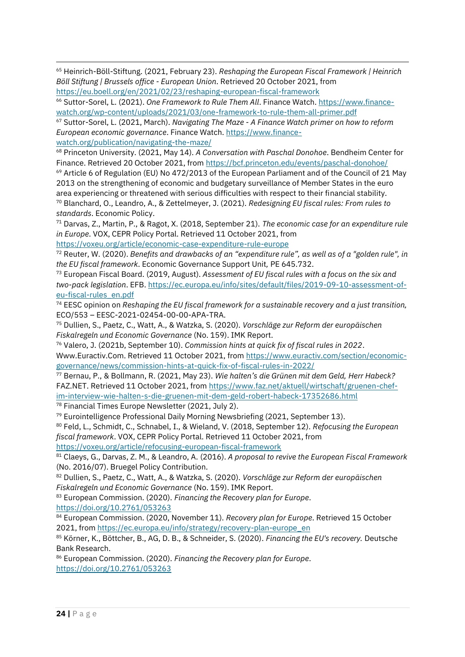<sup>65</sup> Heinrich-Böll-Stiftung. (2021, February 23). *Reshaping the European Fiscal Framework | Heinrich Böll Stiftung | Brussels office - European Union*. Retrieved 20 October 2021, from <https://eu.boell.org/en/2021/02/23/reshaping-european-fiscal-framework>

<sup>66</sup> Suttor-Sorel, L. (2021). *One Framework to Rule Them All*. Finance Watch. [https://www.finance](https://www.finance-watch.org/wp-content/uploads/2021/03/one-framework-to-rule-them-all-primer.pdf)[watch.org/wp-content/uploads/2021/03/one-framework-to-rule-them-all-primer.pdf](https://www.finance-watch.org/wp-content/uploads/2021/03/one-framework-to-rule-them-all-primer.pdf)

<sup>67</sup> Suttor-Sorel, L. (2021, March). *Navigating The Maze - A Finance Watch primer on how to reform European economic governance*. Finance Watch[. https://www.finance](https://www.finance-watch.org/publication/navigating-the-maze/)[watch.org/publication/navigating-the-maze/](https://www.finance-watch.org/publication/navigating-the-maze/)

<sup>68</sup> Princeton University. (2021, May 14). *A Conversation with Paschal Donohoe*. Bendheim Center for Finance. Retrieved 20 October 2021, fro[m https://bcf.princeton.edu/events/paschal-donohoe/](https://bcf.princeton.edu/events/paschal-donohoe/)

<sup>69</sup> Article 6 of Regulation (EU) No 472/2013 of the European Parliament and of the Council of 21 May 2013 on the strengthening of economic and budgetary surveillance of Member States in the euro area experiencing or threatened with serious difficulties with respect to their financial stability. <sup>70</sup> Blanchard, O., Leandro, A., & Zettelmeyer, J. (2021). *Redesigning EU fiscal rules: From rules to standards*. Economic Policy.

<sup>71</sup> Darvas, Z., Martin, P., & Ragot, X. (2018, September 21). *The economic case for an expenditure rule in Europe*. VOX, CEPR Policy Portal. Retrieved 11 October 2021, from

<https://voxeu.org/article/economic-case-expenditure-rule-europe>

<sup>72</sup> Reuter, W. (2020). *Benefits and drawbacks of an "expenditure rule", as well as of a "golden rule", in the EU fiscal framework*. Economic Governance Support Unit*,* PE 645.732.

<sup>73</sup> European Fiscal Board. (2019, August). *Assessment of EU fiscal rules with a focus on the six and two-pack legislation*. EFB[. https://ec.europa.eu/info/sites/default/files/2019-09-10-assessment-of](https://ec.europa.eu/info/sites/default/files/2019-09-10-assessment-of-eu-fiscal-rules_en.pdf)[eu-fiscal-rules\\_en.pdf](https://ec.europa.eu/info/sites/default/files/2019-09-10-assessment-of-eu-fiscal-rules_en.pdf)

<sup>74</sup> EESC opinion on *Reshaping the EU fiscal framework for a sustainable recovery and a just transition,*  ECO/553 – EESC-2021-02454-00-00-APA-TRA.

<sup>75</sup> Dullien, S., Paetz, C., Watt, A., & Watzka, S. (2020). *Vorschläge zur Reform der europäischen Fiskalregeln und Economic Governance* (No. 159). IMK Report.

<sup>76</sup> Valero, J. (2021b, September 10). *Commission hints at quick fix of fiscal rules in 2022*. Www.Euractiv.Com. Retrieved 11 October 2021, from [https://www.euractiv.com/section/economic](https://www.euractiv.com/section/economic-governance/news/commission-hints-at-quick-fix-of-fiscal-rules-in-2022/)[governance/news/commission-hints-at-quick-fix-of-fiscal-rules-in-2022/](https://www.euractiv.com/section/economic-governance/news/commission-hints-at-quick-fix-of-fiscal-rules-in-2022/)

<sup>77</sup> Bernau, P., & Bollmann, R. (2021, May 23). *Wie halten's die Grünen mit dem Geld, Herr Habeck?* FAZ.NET. Retrieved 11 October 2021, fro[m https://www.faz.net/aktuell/wirtschaft/gruenen-chef](https://www.faz.net/aktuell/wirtschaft/gruenen-chef-im-interview-wie-halten-s-die-gruenen-mit-dem-geld-robert-habeck-17352686.html)[im-interview-wie-halten-s-die-gruenen-mit-dem-geld-robert-habeck-17352686.html](https://www.faz.net/aktuell/wirtschaft/gruenen-chef-im-interview-wie-halten-s-die-gruenen-mit-dem-geld-robert-habeck-17352686.html) <sup>78</sup> Financial Times Europe Newsletter (2021, July 2).

<sup>79</sup> Eurointelligence Professional Daily Morning Newsbriefing (2021, September 13).

<sup>80</sup> Feld, L., Schmidt, C., Schnabel, I., & Wieland, V. (2018, September 12). *Refocusing the European fiscal framework*. VOX, CEPR Policy Portal. Retrieved 11 October 2021, from

<https://voxeu.org/article/refocusing-european-fiscal-framework>

<sup>81</sup> Claeys, G., Darvas, Z. M., & Leandro, A. (2016). *A proposal to revive the European Fiscal Framework* (No. 2016/07). Bruegel Policy Contribution.

<sup>82</sup> Dullien, S., Paetz, C., Watt, A., & Watzka, S. (2020). *Vorschläge zur Reform der europäischen Fiskalregeln und Economic Governance* (No. 159). IMK Report.

<sup>83</sup> European Commission. (2020). *Financing the Recovery plan for Europe*.

<https://doi.org/10.2761/053263>

<sup>84</sup> European Commission. (2020, November 11). *Recovery plan for Europe*. Retrieved 15 October 2021, fro[m https://ec.europa.eu/info/strategy/recovery-plan-europe\\_en](https://ec.europa.eu/info/strategy/recovery-plan-europe_en)

<sup>85</sup> Körner, K., Böttcher, B., AG, D. B., & Schneider, S. (2020). *Financing the EU's recovery.* Deutsche Bank Research.

<sup>86</sup> European Commission. (2020). *Financing the Recovery plan for Europe*. <https://doi.org/10.2761/053263>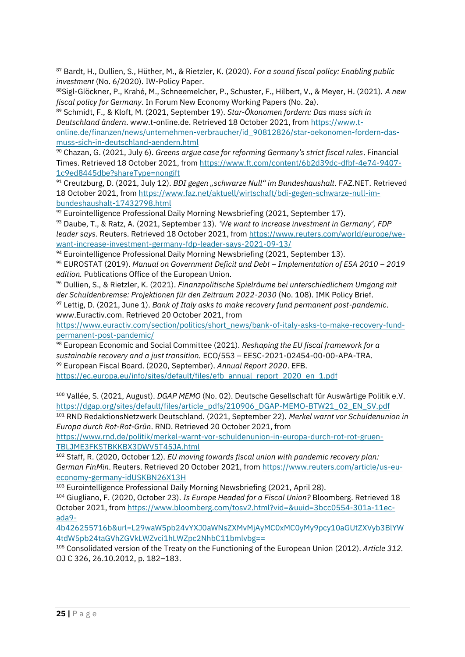<sup>87</sup> Bardt, H., Dullien, S., Hüther, M., & Rietzler, K. (2020). *For a sound fiscal policy: Enabling public investment* (No. 6/2020). IW-Policy Paper.

<sup>88</sup>Sigl-Glöckner, P., Krahé, M., Schneemelcher, P., Schuster, F., Hilbert, V., & Meyer, H. (2021). *A new fiscal policy for Germany*. In Forum New Economy Working Papers (No. 2a).

<sup>89</sup> Schmidt, F., & Kloft, M. (2021, September 19). *Star-Ökonomen fordern: Das muss sich in Deutschland ändern*. www.t-online.de. Retrieved 18 October 2021, from [https://www.t](https://www.t-online.de/finanzen/news/unternehmen-verbraucher/id_90812826/star-oekonomen-fordern-das-muss-sich-in-deutschland-aendern.html)[online.de/finanzen/news/unternehmen-verbraucher/id\\_90812826/star-oekonomen-fordern-das](https://www.t-online.de/finanzen/news/unternehmen-verbraucher/id_90812826/star-oekonomen-fordern-das-muss-sich-in-deutschland-aendern.html)[muss-sich-in-deutschland-aendern.html](https://www.t-online.de/finanzen/news/unternehmen-verbraucher/id_90812826/star-oekonomen-fordern-das-muss-sich-in-deutschland-aendern.html)

<sup>90</sup> Chazan, G. (2021, July 6). *Greens argue case for reforming Germany's strict fiscal rules*. Financial Times. Retrieved 18 October 2021, fro[m https://www.ft.com/content/6b2d39dc-dfbf-4e74-9407-](https://www.ft.com/content/6b2d39dc-dfbf-4e74-9407-1c9ed8445dbe?shareType=nongift) [1c9ed8445dbe?shareType=nongift](https://www.ft.com/content/6b2d39dc-dfbf-4e74-9407-1c9ed8445dbe?shareType=nongift)

<sup>91</sup> Creutzburg, D. (2021, July 12). *BDI gegen "schwarze Null" im Bundeshaushalt*. FAZ.NET. Retrieved 18 October 2021, fro[m https://www.faz.net/aktuell/wirtschaft/bdi-gegen-schwarze-null-im](https://www.faz.net/aktuell/wirtschaft/bdi-gegen-schwarze-null-im-bundeshaushalt-17432798.html)[bundeshaushalt-17432798.html](https://www.faz.net/aktuell/wirtschaft/bdi-gegen-schwarze-null-im-bundeshaushalt-17432798.html)

92 Eurointelligence Professional Daily Morning Newsbriefing (2021, September 17).

<sup>93</sup> Daube, T., & Ratz, A. (2021, September 13). *'We want to increase investment in Germany', FDP leader says*. Reuters. Retrieved 18 October 2021, from [https://www.reuters.com/world/europe/we](https://www.reuters.com/world/europe/we-want-increase-investment-germany-fdp-leader-says-2021-09-13/)[want-increase-investment-germany-fdp-leader-says-2021-09-13/](https://www.reuters.com/world/europe/we-want-increase-investment-germany-fdp-leader-says-2021-09-13/)

<sup>94</sup> Eurointelligence Professional Daily Morning Newsbriefing (2021, September 13).

<sup>95</sup> EUROSTAT (2019). *Manual on Government Deficit and Debt – Implementation of ESA 2010 – 2019 edition.* Publications Office of the European Union.

<sup>96</sup> Dullien, S., & Rietzler, K. (2021). *Finanzpolitische Spielräume bei unterschiedlichem Umgang mit der Schuldenbremse: Projektionen für den Zeitraum 2022-2030* (No. 108). IMK Policy Brief.

<sup>97</sup> Lettig, D. (2021, June 1). *Bank of Italy asks to make recovery fund permanent post-pandemic*. www.Euractiv.com. Retrieved 20 October 2021, from

[https://www.euractiv.com/section/politics/short\\_news/bank-of-italy-asks-to-make-recovery-fund](https://www.euractiv.com/section/politics/short_news/bank-of-italy-asks-to-make-recovery-fund-permanent-post-pandemic/)[permanent-post-pandemic/](https://www.euractiv.com/section/politics/short_news/bank-of-italy-asks-to-make-recovery-fund-permanent-post-pandemic/)

<sup>98</sup> European Economic and Social Committee (2021). *Reshaping the EU fiscal framework for a sustainable recovery and a just transition.* ECO/553 – EESC-2021-02454-00-00-APA-TRA. <sup>99</sup> European Fiscal Board. (2020, September). *Annual Report 2020*. EFB.

[https://ec.europa.eu/info/sites/default/files/efb\\_annual\\_report\\_2020\\_en\\_1.pdf](https://ec.europa.eu/info/sites/default/files/efb_annual_report_2020_en_1.pdf)

<sup>100</sup> Vallée, S. (2021, August). *DGAP MEMO* (No. 02). Deutsche Gesellschaft für Auswärtige Politik e.V. [https://dgap.org/sites/default/files/article\\_pdfs/210906\\_DGAP-MEMO-BTW21\\_02\\_EN\\_SV.pdf](https://dgap.org/sites/default/files/article_pdfs/210906_DGAP-MEMO-BTW21_02_EN_SV.pdf)

<sup>101</sup> RND RedaktionsNetzwerk Deutschland. (2021, September 22). *Merkel warnt vor Schuldenunion in Europa durch Rot-Rot-Grün*. RND. Retrieved 20 October 2021, from

[https://www.rnd.de/politik/merkel-warnt-vor-schuldenunion-in-europa-durch-rot-rot-gruen-](https://www.rnd.de/politik/merkel-warnt-vor-schuldenunion-in-europa-durch-rot-rot-gruen-TBLJME3FKSTBKKBX3DWV5T45JA.html)[TBLJME3FKSTBKKBX3DWV5T45JA.html](https://www.rnd.de/politik/merkel-warnt-vor-schuldenunion-in-europa-durch-rot-rot-gruen-TBLJME3FKSTBKKBX3DWV5T45JA.html)

<sup>102</sup> Staff, R. (2020, October 12). *EU moving towards fiscal union with pandemic recovery plan: German FinMin*. Reuters. Retrieved 20 October 2021, from [https://www.reuters.com/article/us-eu](https://www.reuters.com/article/us-eu-economy-germany-idUSKBN26X13H)[economy-germany-idUSKBN26X13H](https://www.reuters.com/article/us-eu-economy-germany-idUSKBN26X13H)

<sup>103</sup> Eurointelligence Professional Daily Morning Newsbriefing (2021, April 28).

<sup>104</sup> Giugliano, F. (2020, October 23). *Is Europe Headed for a Fiscal Union?* Bloomberg. Retrieved 18 October 2021, from [https://www.bloomberg.com/tosv2.html?vid=&uuid=3bcc0554-301a-11ec](https://www.bloomberg.com/tosv2.html?vid=&uuid=3bcc0554-301a-11ec-ada9-4b426255716b&url=L29waW5pb24vYXJ0aWNsZXMvMjAyMC0xMC0yMy9pcy10aGUtZXVyb3BlYW4tdW5pb24taGVhZGVkLWZvci1hLWZpc2NhbC11bmlvbg==)[ada9-](https://www.bloomberg.com/tosv2.html?vid=&uuid=3bcc0554-301a-11ec-ada9-4b426255716b&url=L29waW5pb24vYXJ0aWNsZXMvMjAyMC0xMC0yMy9pcy10aGUtZXVyb3BlYW4tdW5pb24taGVhZGVkLWZvci1hLWZpc2NhbC11bmlvbg==)

[4b426255716b&url=L29waW5pb24vYXJ0aWNsZXMvMjAyMC0xMC0yMy9pcy10aGUtZXVyb3BlYW](https://www.bloomberg.com/tosv2.html?vid=&uuid=3bcc0554-301a-11ec-ada9-4b426255716b&url=L29waW5pb24vYXJ0aWNsZXMvMjAyMC0xMC0yMy9pcy10aGUtZXVyb3BlYW4tdW5pb24taGVhZGVkLWZvci1hLWZpc2NhbC11bmlvbg==) [4tdW5pb24taGVhZGVkLWZvci1hLWZpc2NhbC11bmlvbg==](https://www.bloomberg.com/tosv2.html?vid=&uuid=3bcc0554-301a-11ec-ada9-4b426255716b&url=L29waW5pb24vYXJ0aWNsZXMvMjAyMC0xMC0yMy9pcy10aGUtZXVyb3BlYW4tdW5pb24taGVhZGVkLWZvci1hLWZpc2NhbC11bmlvbg==)

<sup>105</sup> Consolidated version of the Treaty on the Functioning of the European Union (2012). *Article 312.*  OJ C 326, 26.10.2012, p. 182–183.